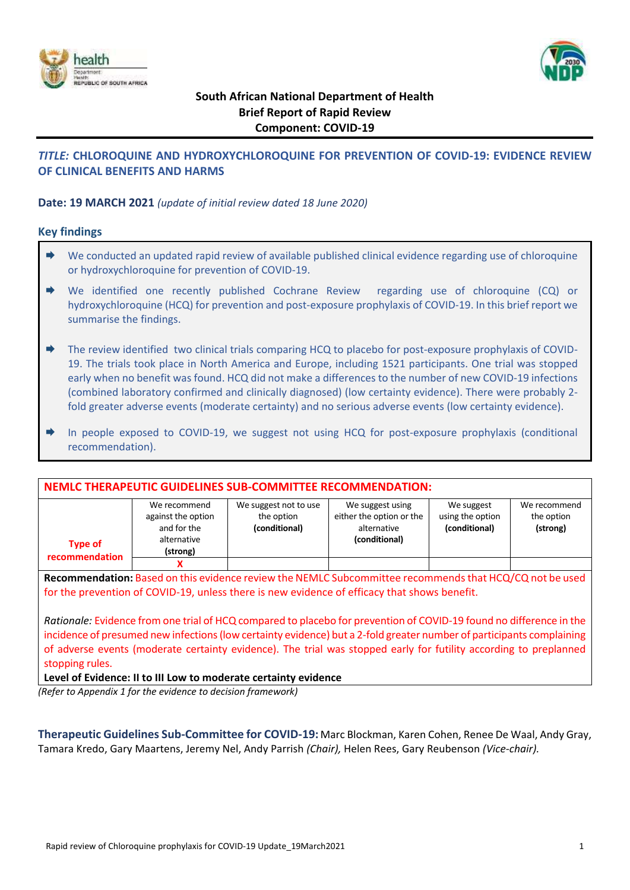



# **South African National Department of Health Brief Report of Rapid Review Component: COVID-19**

# *TITLE:* **CHLOROQUINE AND HYDROXYCHLOROQUINE FOR PREVENTION OF COVID-19: EVIDENCE REVIEW OF CLINICAL BENEFITS AND HARMS**

### **Date: 19 MARCH 2021** *(update of initial review dated 18 June 2020)*

#### **Key findings**

- $\rightarrow$  We conducted an updated rapid review of available published clinical evidence regarding use of chloroquine or hydroxychloroquine for prevention of COVID-19.
- We identified one recently published Cochrane Review regarding use of chloroquine (CQ) or hydroxychloroquine (HCQ) for prevention and post-exposure prophylaxis of COVID-19. In this brief report we summarise the findings.
- ◆ The review identified two clinical trials comparing HCQ to placebo for post-exposure prophylaxis of COVID-19. The trials took place in North America and Europe, including 1521 participants. One trial was stopped early when no benefit was found. HCQ did not make a differences to the number of new COVID-19 infections (combined laboratory confirmed and clinically diagnosed) (low certainty evidence). There were probably 2 fold greater adverse events (moderate certainty) and no serious adverse events (low certainty evidence).
- In people exposed to COVID-19, we suggest not using HCQ for post-exposure prophylaxis (conditional recommendation).

| <b>NEMLC THERAPEUTIC GUIDELINES SUB-COMMITTEE RECOMMENDATION:</b>                                       |                                                                              |                                                      |                                                                              |                                                 |                                        |  |  |  |
|---------------------------------------------------------------------------------------------------------|------------------------------------------------------------------------------|------------------------------------------------------|------------------------------------------------------------------------------|-------------------------------------------------|----------------------------------------|--|--|--|
| <b>Type of</b><br>recommendation                                                                        | We recommend<br>against the option<br>and for the<br>alternative<br>(strong) | We suggest not to use<br>the option<br>(conditional) | We suggest using<br>either the option or the<br>alternative<br>(conditional) | We suggest<br>using the option<br>(conditional) | We recommend<br>the option<br>(strong) |  |  |  |
|                                                                                                         |                                                                              |                                                      |                                                                              |                                                 |                                        |  |  |  |
| Recommendation: Based on this evidence review the NEMLC Subcommittee recommends that HCQ/CQ not be used |                                                                              |                                                      |                                                                              |                                                 |                                        |  |  |  |

for the prevention of COVID-19, unless there is new evidence of efficacy that shows benefit.

*Rationale:* Evidence from one trial of HCQ compared to placebo for prevention of COVID-19 found no difference in the incidence of presumed new infections (low certainty evidence) but a 2-fold greater number of participants complaining of adverse events (moderate certainty evidence). The trial was stopped early for futility according to preplanned stopping rules.

**Level of Evidence: II to III Low to moderate certainty evidence**

*(Refer to Appendix 1 for the evidence to decision framework)*

**Therapeutic Guidelines Sub-Committee for COVID-19:** Marc Blockman, Karen Cohen, Renee De Waal, Andy Gray, Tamara Kredo, Gary Maartens, Jeremy Nel, Andy Parrish *(Chair),* Helen Rees, Gary Reubenson *(Vice-chair).*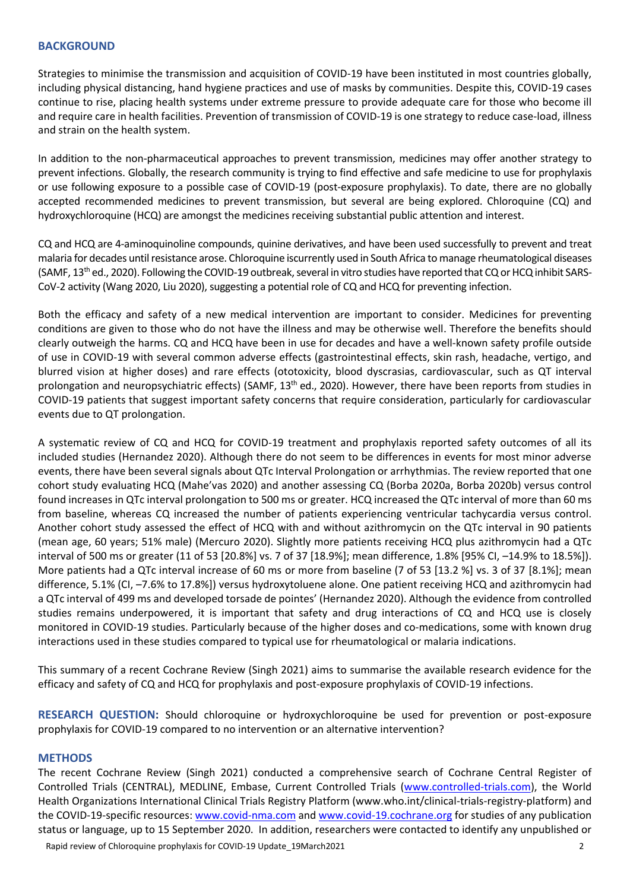#### **BACKGROUND**

Strategies to minimise the transmission and acquisition of COVID-19 have been instituted in most countries globally, including physical distancing, hand hygiene practices and use of masks by communities. Despite this, COVID-19 cases continue to rise, placing health systems under extreme pressure to provide adequate care for those who become ill and require care in health facilities. Prevention of transmission of COVID-19 is one strategy to reduce case-load, illness and strain on the health system.

In addition to the non-pharmaceutical approaches to prevent transmission, medicines may offer another strategy to prevent infections. Globally, the research community is trying to find effective and safe medicine to use for prophylaxis or use following exposure to a possible case of COVID-19 (post-exposure prophylaxis). To date, there are no globally accepted recommended medicines to prevent transmission, but several are being explored. Chloroquine (CQ) and hydroxychloroquine (HCQ) are amongst the medicines receiving substantial public attention and interest.

CQ and HCQ are 4-aminoquinoline compounds, quinine derivatives, and have been used successfully to prevent and treat malaria for decades until resistance arose. Chloroquine iscurrently used in South Africa to manage rheumatological diseases (SAMF, 13<sup>th</sup> ed., 2020). Following the COVID-19 outbreak, several in vitro studies have reported that CQ or HCQ inhibit SARS-CoV-2 activity (Wang 2020, Liu 2020), suggesting a potential role of CQ and HCQ for preventing infection.

Both the efficacy and safety of a new medical intervention are important to consider. Medicines for preventing conditions are given to those who do not have the illness and may be otherwise well. Therefore the benefits should clearly outweigh the harms. CQ and HCQ have been in use for decades and have a well-known safety profile outside of use in COVID-19 with several common adverse effects (gastrointestinal effects, skin rash, headache, vertigo, and blurred vision at higher doses) and rare effects (ototoxicity, blood dyscrasias, cardiovascular, such as QT interval prolongation and neuropsychiatric effects) (SAMF, 13<sup>th</sup> ed., 2020). However, there have been reports from studies in COVID-19 patients that suggest important safety concerns that require consideration, particularly for cardiovascular events due to QT prolongation.

A systematic review of CQ and HCQ for COVID-19 treatment and prophylaxis reported safety outcomes of all its included studies (Hernandez 2020). Although there do not seem to be differences in events for most minor adverse events, there have been several signals about QTc Interval Prolongation or arrhythmias. The review reported that one cohort study evaluating HCQ (Mahe'vas 2020) and another assessing CQ (Borba 2020a, Borba 2020b) versus control found increases in QTc interval prolongation to 500 ms or greater. HCQ increased the QTc interval of more than 60 ms from baseline, whereas CQ increased the number of patients experiencing ventricular tachycardia versus control. Another cohort study assessed the effect of HCQ with and without azithromycin on the QTc interval in 90 patients (mean age, 60 years; 51% male) (Mercuro 2020). Slightly more patients receiving HCQ plus azithromycin had a QTc interval of 500 ms or greater (11 of 53 [20.8%] vs. 7 of 37 [18.9%]; mean difference, 1.8% [95% CI, –14.9% to 18.5%]). More patients had a QTc interval increase of 60 ms or more from baseline (7 of 53 [13.2 %] vs. 3 of 37 [8.1%]; mean difference, 5.1% (CI, –7.6% to 17.8%]) versus hydroxytoluene alone. One patient receiving HCQ and azithromycin had a QTc interval of 499 ms and developed torsade de pointes' (Hernandez 2020). Although the evidence from controlled studies remains underpowered, it is important that safety and drug interactions of CQ and HCQ use is closely monitored in COVID-19 studies. Particularly because of the higher doses and co-medications, some with known drug interactions used in these studies compared to typical use for rheumatological or malaria indications.

This summary of a recent Cochrane Review (Singh 2021) aims to summarise the available research evidence for the efficacy and safety of CQ and HCQ for prophylaxis and post-exposure prophylaxis of COVID-19 infections.

**RESEARCH QUESTION:** Should chloroquine or hydroxychloroquine be used for prevention or post-exposure prophylaxis for COVID-19 compared to no intervention or an alternative intervention?

#### **METHODS**

Rapid review of Chloroquine prophylaxis for COVID-19 Update 19March2021 2012 The recent Cochrane Review (Singh 2021) conducted a comprehensive search of Cochrane Central Register of Controlled Trials (CENTRAL), MEDLINE, Embase, Current Controlled Trials [\(www.controlled-trials.com\)](http://www.controlled-trials.com/), the World Health Organizations International Clinical Trials Registry Platform (www.who.int/clinical-trials-registry-platform) and the COVID-19-specific resources[: www.covid-nma.com](http://www.covid-nma.com/) and [www.covid-19.cochrane.org](http://www.covid-19.cochrane.org/) for studies of any publication status or language, up to 15 September 2020. In addition, researchers were contacted to identify any unpublished or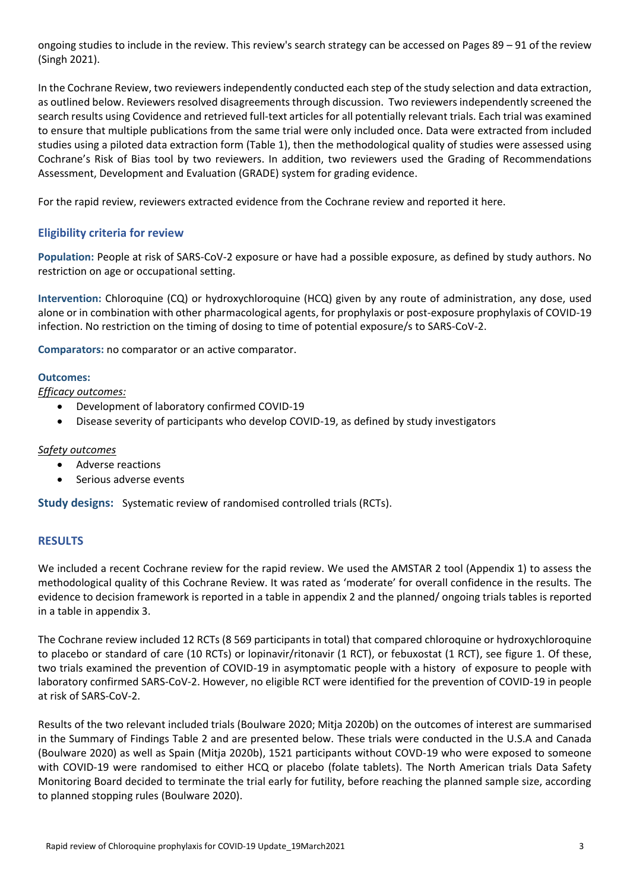ongoing studies to include in the review. This review's search strategy can be accessed on Pages 89 – 91 of the review (Singh 2021).

In the Cochrane Review, two reviewers independently conducted each step of the study selection and data extraction, as outlined below. Reviewers resolved disagreements through discussion. Two reviewers independently screened the search results using Covidence and retrieved full-text articles for all potentially relevant trials. Each trial was examined to ensure that multiple publications from the same trial were only included once. Data were extracted from included studies using a piloted data extraction form (Table 1), then the methodological quality of studies were assessed using Cochrane's Risk of Bias tool by two reviewers. In addition, two reviewers used the Grading of Recommendations Assessment, Development and Evaluation (GRADE) system for grading evidence.

For the rapid review, reviewers extracted evidence from the Cochrane review and reported it here.

# **Eligibility criteria for review**

**Population:** People at risk of SARS-CoV-2 exposure or have had a possible exposure, as defined by study authors. No restriction on age or occupational setting.

**Intervention:** Chloroquine (CQ) or hydroxychloroquine (HCQ) given by any route of administration, any dose, used alone or in combination with other pharmacological agents, for prophylaxis or post-exposure prophylaxis of COVID-19 infection. No restriction on the timing of dosing to time of potential exposure/s to SARS-CoV-2.

**Comparators:** no comparator or an active comparator.

#### **Outcomes:**

*Efficacy outcomes:*

- Development of laboratory confirmed COVID-19
- Disease severity of participants who develop COVID-19, as defined by study investigators

#### *Safety outcomes*

- Adverse reactions
- Serious adverse events

**Study designs:** Systematic review of randomised controlled trials (RCTs).

#### **RESULTS**

We included a recent Cochrane review for the rapid review. We used the AMSTAR 2 tool (Appendix 1) to assess the methodological quality of this Cochrane Review. It was rated as 'moderate' for overall confidence in the results. The evidence to decision framework is reported in a table in appendix 2 and the planned/ ongoing trials tables is reported in a table in appendix 3.

The Cochrane review included 12 RCTs (8 569 participants in total) that compared chloroquine or hydroxychloroquine to placebo or standard of care (10 RCTs) or lopinavir/ritonavir (1 RCT), or febuxostat (1 RCT), see figure 1. Of these, two trials examined the prevention of COVID-19 in asymptomatic people with a history of exposure to people with laboratory confirmed SARS-CoV-2. However, no eligible RCT were identified for the prevention of COVID-19 in people at risk of SARS-CoV-2.

Results of the two relevant included trials (Boulware 2020; Mitja 2020b) on the outcomes of interest are summarised in the Summary of Findings Table 2 and are presented below. These trials were conducted in the U.S.A and Canada (Boulware 2020) as well as Spain (Mitja 2020b), 1521 participants without COVD-19 who were exposed to someone with COVID-19 were randomised to either HCQ or placebo (folate tablets). The North American trials Data Safety Monitoring Board decided to terminate the trial early for futility, before reaching the planned sample size, according to planned stopping rules (Boulware 2020).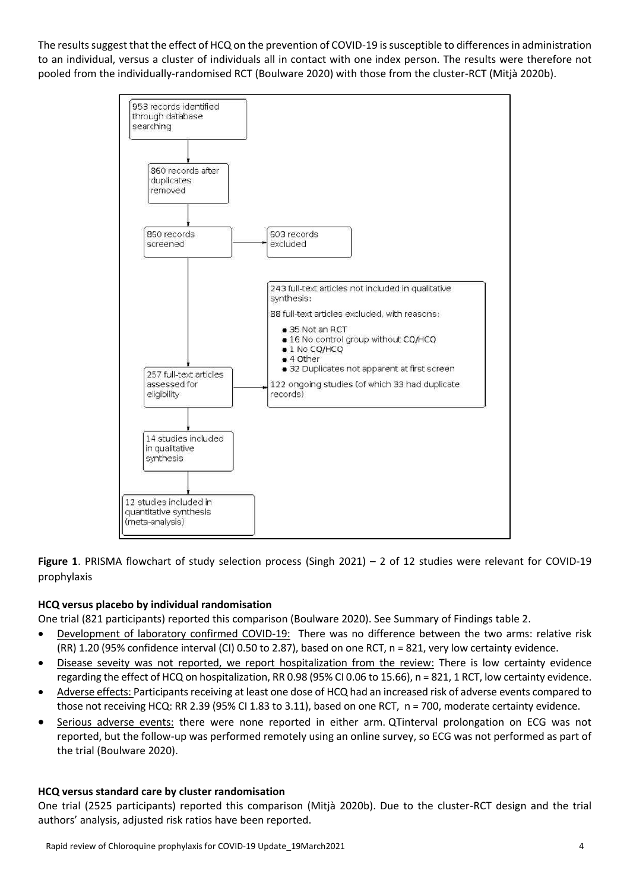The results suggest that the effect of HCQ on the prevention of COVID-19 is susceptible to differences in administration to an individual, versus a cluster of individuals all in contact with one index person. The results were therefore not pooled from the individually-randomised RCT (Boulware 2020) with those from the cluster-RCT (Mitjà 2020b).



**Figure 1**. PRISMA flowchart of study selection process (Singh 2021) – 2 of 12 studies were relevant for COVID-19 prophylaxis

## **HCQ versus placebo by individual randomisation**

One trial (821 participants) reported this comparison (Boulware 2020). See Summary of Findings table 2.

- Development of laboratory confirmed COVID-19: There was no difference between the two arms: relative risk (RR) 1.20 (95% confidence interval (CI) 0.50 to 2.87), based on one RCT, n = 821, very low certainty evidence.
- Disease seveity was not reported, we report hospitalization from the review: There is low certainty evidence regarding the effect of HCQ on hospitalization, RR 0.98 (95% CI 0.06 to 15.66), n = 821, 1 RCT, low certainty evidence.
- Adverse effects: Participants receiving at least one dose of HCQ had an increased risk of adverse events compared to those not receiving HCQ: RR 2.39 (95% CI 1.83 to 3.11), based on one RCT, n = 700, moderate certainty evidence.
- Serious adverse events: there were none reported in either arm. QTinterval prolongation on ECG was not reported, but the follow-up was performed remotely using an online survey, so ECG was not performed as part of the trial (Boulware 2020).

#### **HCQ versus standard care by cluster randomisation**

One trial (2525 participants) reported this comparison (Mitjà 2020b). Due to the cluster-RCT design and the trial authors' analysis, adjusted risk ratios have been reported.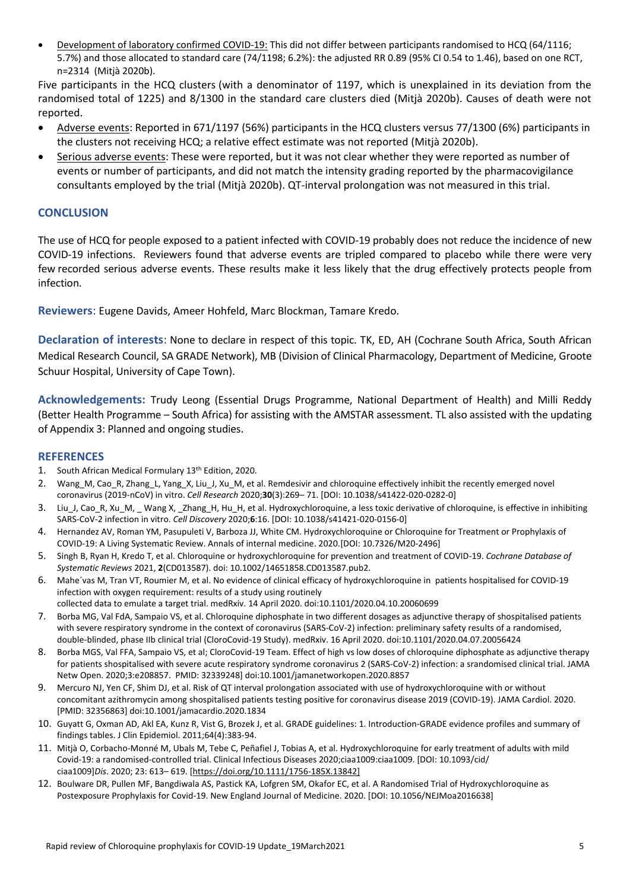Development of laboratory confirmed COVID-19: This did not differ between participants randomised to HCQ (64/1116; 5.7%) and those allocated to standard care (74/1198; 6.2%): the adjusted RR 0.89 (95% CI 0.54 to 1.46), based on one RCT, n=2314 (Mitjà 2020b).

Five participants in the HCQ clusters (with a denominator of 1197, which is unexplained in its deviation from the randomised total of 1225) and 8/1300 in the standard care clusters died (Mitjà 2020b). Causes of death were not reported.

- Adverse events: Reported in 671/1197 (56%) participants in the HCQ clusters versus 77/1300 (6%) participants in the clusters not receiving HCQ; a relative effect estimate was not reported (Mitjà 2020b).
- Serious adverse events: These were reported, but it was not clear whether they were reported as number of events or number of participants, and did not match the intensity grading reported by the pharmacovigilance consultants employed by the trial (Mitjà 2020b). QT-interval prolongation was not measured in this trial.

### **CONCLUSION**

The use of HCQ for people exposed to a patient infected with COVID-19 probably does not reduce the incidence of new COVID-19 infections. Reviewers found that adverse events are tripled compared to placebo while there were very few recorded serious adverse events. These results make it less likely that the drug effectively protects people from infection.

**Reviewers**: Eugene Davids, Ameer Hohfeld, Marc Blockman, Tamare Kredo.

**Declaration of interests**: None to declare in respect of this topic. TK, ED, AH (Cochrane South Africa, South African Medical Research Council, SA GRADE Network), MB (Division of Clinical Pharmacology, Department of Medicine, Groote Schuur Hospital, University of Cape Town).

**Acknowledgements:** Trudy Leong (Essential Drugs Programme, National Department of Health) and Milli Reddy (Better Health Programme – South Africa) for assisting with the AMSTAR assessment. TL also assisted with the updating of Appendix 3: Planned and ongoing studies.

#### **REFERENCES**

- 1. South African Medical Formulary 13th Edition, 2020.
- 2. Wang M, Cao R, Zhang L, Yang X, Liu J, Xu M, et al. Remdesivir and chloroquine effectively inhibit the recently emerged novel coronavirus (2019-nCoV) in vitro. *Cell Research* 2020;**30**(3):269– 71. [DOI: 10.1038/s41422-020-0282-0]
- 3. Liu J, Cao R, Xu M, Wang X, Zhang H, Hu H, et al. Hydroxychloroquine, a less toxic derivative of chloroquine, is effective in inhibiting SARS-CoV-2 infection in vitro. *Cell Discovery* 2020;**6**:16. [DOI: 10.1038/s41421-020-0156-0]
- 4. Hernandez AV, Roman YM, Pasupuleti V, Barboza JJ, White CM. Hydroxychloroquine or Chloroquine for Treatment or Prophylaxis of COVID-19: A Living Systematic Review. Annals of internal medicine. 2020.[DOI: 10.7326/M20-2496]
- 5. Singh B, Ryan H, Kredo T, et al. Chloroquine or hydroxychloroquine for prevention and treatment of COVID-19. *Cochrane Database of Systematic Reviews* 2021, **2**(CD013587). doi: 10.1002/14651858.CD013587.pub2.
- 6. Mahe´vas M, Tran VT, Roumier M, et al. No evidence of clinical efficacy of hydroxychloroquine in patients hospitalised for COVID-19 infection with oxygen requirement: results of a study using routinely collected data to emulate a target trial. medRxiv. 14 April 2020. doi:10.1101/2020.04.10.20060699
- 7. Borba MG, Val FdA, Sampaio VS, et al. Chloroquine diphosphate in two different dosages as adjunctive therapy of shospitalised patients with severe respiratory syndrome in the context of coronavirus (SARS-CoV-2) infection: preliminary safety results of a randomised, double-blinded, phase IIb clinical trial (CloroCovid-19 Study). medRxiv. 16 April 2020. doi:10.1101/2020.04.07.20056424
- 8. Borba MGS, Val FFA, Sampaio VS, et al; CloroCovid-19 Team. Effect of high vs low doses of chloroquine diphosphate as adjunctive therapy for patients shospitalised with severe acute respiratory syndrome coronavirus 2 (SARS-CoV-2) infection: a srandomised clinical trial. JAMA Netw Open. 2020;3:e208857. PMID: 32339248] doi:10.1001/jamanetworkopen.2020.8857
- 9. Mercuro NJ, Yen CF, Shim DJ, et al. Risk of QT interval prolongation associated with use of hydroxychloroquine with or without concomitant azithromycin among shospitalised patients testing positive for coronavirus disease 2019 (COVID-19). JAMA Cardiol. 2020. [PMID: 32356863] doi:10.1001/jamacardio.2020.1834
- 10. Guyatt G, Oxman AD, Akl EA, Kunz R, Vist G, Brozek J, et al. GRADE guidelines: 1. Introduction-GRADE evidence profiles and summary of findings tables. J Clin Epidemiol. 2011;64(4):383-94.
- 11. Mitjà O, Corbacho-Monné M, Ubals M, Tebe C, Peñafiel J, Tobias A, et al. Hydroxychloroquine for early treatment of adults with mild Covid-19: a randomised-controlled trial. Clinical Infectious Diseases 2020;ciaa1009:ciaa1009. [DOI: 10.1093/cid/ ciaa1009]*Dis*. 2020; 23: 613– 619. [\[https://doi.org/10.1111/1756-185X.13842\]](https://doi.org/10.1111/1756-185X.13842)
- 12. Boulware DR, Pullen MF, Bangdiwala AS, Pastick KA, Lofgren SM, Okafor EC, et al. A Randomised Trial of Hydroxychloroquine as Postexposure Prophylaxis for Covid-19. New England Journal of Medicine. 2020. [DOI: 10.1056/NEJMoa2016638]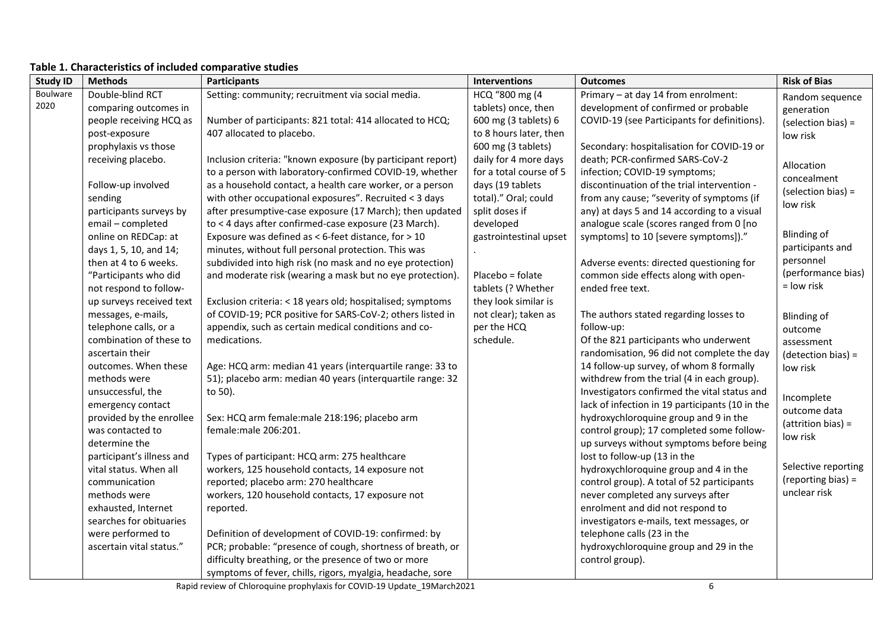| <b>Study ID</b> | <b>Methods</b>            | Participants                                                | Interventions           | <b>Outcomes</b>                                 | <b>Risk of Bias</b>  |
|-----------------|---------------------------|-------------------------------------------------------------|-------------------------|-------------------------------------------------|----------------------|
| Boulware        | Double-blind RCT          | Setting: community; recruitment via social media.           | HCQ "800 mg (4          | Primary - at day 14 from enrolment:             | Random sequence      |
| 2020            | comparing outcomes in     |                                                             | tablets) once, then     | development of confirmed or probable            | generation           |
|                 | people receiving HCQ as   | Number of participants: 821 total: 414 allocated to HCQ;    | 600 mg (3 tablets) 6    | COVID-19 (see Participants for definitions).    | (selection bias) =   |
|                 | post-exposure             | 407 allocated to placebo.                                   | to 8 hours later, then  |                                                 | low risk             |
|                 | prophylaxis vs those      |                                                             | 600 mg (3 tablets)      | Secondary: hospitalisation for COVID-19 or      |                      |
|                 | receiving placebo.        | Inclusion criteria: "known exposure (by participant report) | daily for 4 more days   | death; PCR-confirmed SARS-CoV-2                 | Allocation           |
|                 |                           | to a person with laboratory-confirmed COVID-19, whether     | for a total course of 5 | infection; COVID-19 symptoms;                   | concealment          |
|                 | Follow-up involved        | as a household contact, a health care worker, or a person   | days (19 tablets        | discontinuation of the trial intervention -     | (selection bias) =   |
|                 | sending                   | with other occupational exposures". Recruited < 3 days      | total)." Oral; could    | from any cause; "severity of symptoms (if       | low risk             |
|                 | participants surveys by   | after presumptive-case exposure (17 March); then updated    | split doses if          | any) at days 5 and 14 according to a visual     |                      |
|                 | email - completed         | to < 4 days after confirmed-case exposure (23 March).       | developed               | analogue scale (scores ranged from 0 [no        |                      |
|                 | online on REDCap: at      | Exposure was defined as < 6-feet distance, for > 10         | gastrointestinal upset  | symptoms] to 10 [severe symptoms])."            | Blinding of          |
|                 | days 1, 5, 10, and 14;    | minutes, without full personal protection. This was         |                         |                                                 | participants and     |
|                 | then at 4 to 6 weeks.     | subdivided into high risk (no mask and no eye protection)   |                         | Adverse events: directed questioning for        | personnel            |
|                 | "Participants who did     | and moderate risk (wearing a mask but no eye protection).   | Placebo = folate        | common side effects along with open-            | (performance bias)   |
|                 | not respond to follow-    |                                                             | tablets (? Whether      | ended free text.                                | = low risk           |
|                 | up surveys received text  | Exclusion criteria: < 18 years old; hospitalised; symptoms  | they look similar is    |                                                 |                      |
|                 | messages, e-mails,        | of COVID-19; PCR positive for SARS-CoV-2; others listed in  | not clear); taken as    | The authors stated regarding losses to          | <b>Blinding of</b>   |
|                 | telephone calls, or a     | appendix, such as certain medical conditions and co-        | per the HCQ             | follow-up:                                      | outcome              |
|                 | combination of these to   | medications.                                                | schedule.               | Of the 821 participants who underwent           | assessment           |
|                 | ascertain their           |                                                             |                         | randomisation, 96 did not complete the day      | (detection bias) =   |
|                 | outcomes. When these      | Age: HCQ arm: median 41 years (interquartile range: 33 to   |                         | 14 follow-up survey, of whom 8 formally         | low risk             |
|                 | methods were              | 51); placebo arm: median 40 years (interquartile range: 32  |                         | withdrew from the trial (4 in each group).      |                      |
|                 | unsuccessful, the         | to 50).                                                     |                         | Investigators confirmed the vital status and    | Incomplete           |
|                 | emergency contact         |                                                             |                         | lack of infection in 19 participants (10 in the | outcome data         |
|                 | provided by the enrollee  | Sex: HCQ arm female: male 218:196; placebo arm              |                         | hydroxychloroquine group and 9 in the           | $(attention bias) =$ |
|                 | was contacted to          | female:male 206:201.                                        |                         | control group); 17 completed some follow-       | low risk             |
|                 | determine the             |                                                             |                         | up surveys without symptoms before being        |                      |
|                 | participant's illness and | Types of participant: HCQ arm: 275 healthcare               |                         | lost to follow-up (13 in the                    |                      |
|                 | vital status. When all    | workers, 125 household contacts, 14 exposure not            |                         | hydroxychloroquine group and 4 in the           | Selective reporting  |
|                 | communication             | reported; placebo arm: 270 healthcare                       |                         | control group). A total of 52 participants      | (reporting bias) =   |
|                 | methods were              | workers, 120 household contacts, 17 exposure not            |                         | never completed any surveys after               | unclear risk         |
|                 | exhausted, Internet       | reported.                                                   |                         | enrolment and did not respond to                |                      |
|                 | searches for obituaries   |                                                             |                         | investigators e-mails, text messages, or        |                      |
|                 | were performed to         | Definition of development of COVID-19: confirmed: by        |                         | telephone calls (23 in the                      |                      |
|                 | ascertain vital status."  | PCR; probable: "presence of cough, shortness of breath, or  |                         | hydroxychloroquine group and 29 in the          |                      |
|                 |                           | difficulty breathing, or the presence of two or more        |                         | control group).                                 |                      |
|                 |                           | symptoms of fever, chills, rigors, myalgia, headache, sore  |                         |                                                 |                      |

### **Table 1. Characteristics of included comparative studies**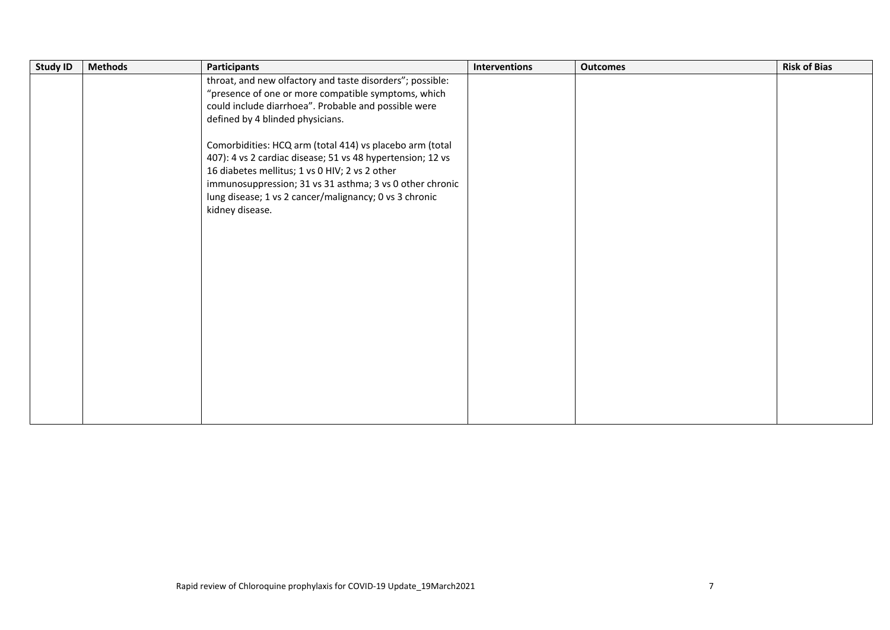| <b>Study ID</b> | <b>Methods</b> | <b>Participants</b>                                        | <b>Interventions</b> | <b>Outcomes</b> | <b>Risk of Bias</b> |
|-----------------|----------------|------------------------------------------------------------|----------------------|-----------------|---------------------|
|                 |                | throat, and new olfactory and taste disorders"; possible:  |                      |                 |                     |
|                 |                | "presence of one or more compatible symptoms, which        |                      |                 |                     |
|                 |                | could include diarrhoea". Probable and possible were       |                      |                 |                     |
|                 |                | defined by 4 blinded physicians.                           |                      |                 |                     |
|                 |                |                                                            |                      |                 |                     |
|                 |                | Comorbidities: HCQ arm (total 414) vs placebo arm (total   |                      |                 |                     |
|                 |                | 407): 4 vs 2 cardiac disease; 51 vs 48 hypertension; 12 vs |                      |                 |                     |
|                 |                | 16 diabetes mellitus; 1 vs 0 HIV; 2 vs 2 other             |                      |                 |                     |
|                 |                | immunosuppression; 31 vs 31 asthma; 3 vs 0 other chronic   |                      |                 |                     |
|                 |                | lung disease; 1 vs 2 cancer/malignancy; 0 vs 3 chronic     |                      |                 |                     |
|                 |                | kidney disease.                                            |                      |                 |                     |
|                 |                |                                                            |                      |                 |                     |
|                 |                |                                                            |                      |                 |                     |
|                 |                |                                                            |                      |                 |                     |
|                 |                |                                                            |                      |                 |                     |
|                 |                |                                                            |                      |                 |                     |
|                 |                |                                                            |                      |                 |                     |
|                 |                |                                                            |                      |                 |                     |
|                 |                |                                                            |                      |                 |                     |
|                 |                |                                                            |                      |                 |                     |
|                 |                |                                                            |                      |                 |                     |
|                 |                |                                                            |                      |                 |                     |
|                 |                |                                                            |                      |                 |                     |
|                 |                |                                                            |                      |                 |                     |
|                 |                |                                                            |                      |                 |                     |
|                 |                |                                                            |                      |                 |                     |
|                 |                |                                                            |                      |                 |                     |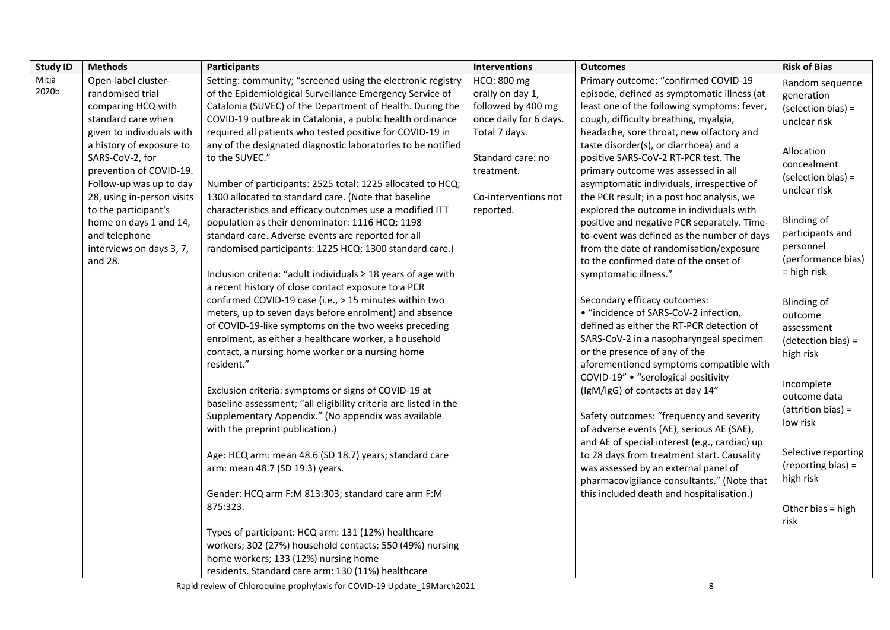| <b>Study ID</b> | <b>Methods</b>             | <b>Participants</b>                                              | Interventions          | <b>Outcomes</b>                               | <b>Risk of Bias</b>  |
|-----------------|----------------------------|------------------------------------------------------------------|------------------------|-----------------------------------------------|----------------------|
| Mitjà           | Open-label cluster-        | Setting: community; "screened using the electronic registry      | HCQ: 800 mg            | Primary outcome: "confirmed COVID-19          | Random sequence      |
| 2020b           | randomised trial           | of the Epidemiological Surveillance Emergency Service of         | orally on day 1,       | episode, defined as symptomatic illness (at   | generation           |
|                 | comparing HCQ with         | Catalonia (SUVEC) of the Department of Health. During the        | followed by 400 mg     | least one of the following symptoms: fever,   | (selection bias) =   |
|                 | standard care when         | COVID-19 outbreak in Catalonia, a public health ordinance        | once daily for 6 days. | cough, difficulty breathing, myalgia,         | unclear risk         |
|                 | given to individuals with  | required all patients who tested positive for COVID-19 in        | Total 7 days.          | headache, sore throat, new olfactory and      |                      |
|                 | a history of exposure to   | any of the designated diagnostic laboratories to be notified     |                        | taste disorder(s), or diarrhoea) and a        | Allocation           |
|                 | SARS-CoV-2, for            | to the SUVEC."                                                   | Standard care: no      | positive SARS-CoV-2 RT-PCR test. The          | concealment          |
|                 | prevention of COVID-19.    |                                                                  | treatment.             | primary outcome was assessed in all           | (selection bias) =   |
|                 | Follow-up was up to day    | Number of participants: 2525 total: 1225 allocated to HCQ;       |                        | asymptomatic individuals, irrespective of     | unclear risk         |
|                 | 28, using in-person visits | 1300 allocated to standard care. (Note that baseline             | Co-interventions not   | the PCR result; in a post hoc analysis, we    |                      |
|                 | to the participant's       | characteristics and efficacy outcomes use a modified ITT         | reported.              | explored the outcome in individuals with      |                      |
|                 | home on days 1 and 14,     | population as their denominator: 1116 HCQ; 1198                  |                        | positive and negative PCR separately. Time-   | <b>Blinding of</b>   |
|                 | and telephone              | standard care. Adverse events are reported for all               |                        | to-event was defined as the number of days    | participants and     |
|                 | interviews on days 3, 7,   | randomised participants: 1225 HCQ; 1300 standard care.)          |                        | from the date of randomisation/exposure       | personnel            |
|                 | and 28.                    |                                                                  |                        | to the confirmed date of the onset of         | (performance bias)   |
|                 |                            | Inclusion criteria: "adult individuals ≥ 18 years of age with    |                        | symptomatic illness."                         | $=$ high risk        |
|                 |                            | a recent history of close contact exposure to a PCR              |                        |                                               |                      |
|                 |                            | confirmed COVID-19 case (i.e., > 15 minutes within two           |                        | Secondary efficacy outcomes:                  | Blinding of          |
|                 |                            | meters, up to seven days before enrolment) and absence           |                        | • "incidence of SARS-CoV-2 infection,         | outcome              |
|                 |                            | of COVID-19-like symptoms on the two weeks preceding             |                        | defined as either the RT-PCR detection of     | assessment           |
|                 |                            | enrolment, as either a healthcare worker, a household            |                        | SARS-CoV-2 in a nasopharyngeal specimen       | $(detection bias) =$ |
|                 |                            | contact, a nursing home worker or a nursing home                 |                        | or the presence of any of the                 | high risk            |
|                 |                            | resident."                                                       |                        | aforementioned symptoms compatible with       |                      |
|                 |                            |                                                                  |                        | COVID-19" . "serological positivity           | Incomplete           |
|                 |                            | Exclusion criteria: symptoms or signs of COVID-19 at             |                        | (IgM/IgG) of contacts at day 14"              | outcome data         |
|                 |                            | baseline assessment; "all eligibility criteria are listed in the |                        |                                               | $(attention bias) =$ |
|                 |                            | Supplementary Appendix." (No appendix was available              |                        | Safety outcomes: "frequency and severity      | low risk             |
|                 |                            | with the preprint publication.)                                  |                        | of adverse events (AE), serious AE (SAE),     |                      |
|                 |                            |                                                                  |                        | and AE of special interest (e.g., cardiac) up | Selective reporting  |
|                 |                            | Age: HCQ arm: mean 48.6 (SD 18.7) years; standard care           |                        | to 28 days from treatment start. Causality    | $(reporting bias) =$ |
|                 |                            | arm: mean 48.7 (SD 19.3) years.                                  |                        | was assessed by an external panel of          | high risk            |
|                 |                            |                                                                  |                        | pharmacovigilance consultants." (Note that    |                      |
|                 |                            | Gender: HCQ arm F:M 813:303; standard care arm F:M               |                        | this included death and hospitalisation.)     |                      |
|                 |                            | 875:323.                                                         |                        |                                               | Other bias = high    |
|                 |                            |                                                                  |                        |                                               | risk                 |
|                 |                            | Types of participant: HCQ arm: 131 (12%) healthcare              |                        |                                               |                      |
|                 |                            | workers; 302 (27%) household contacts; 550 (49%) nursing         |                        |                                               |                      |
|                 |                            | home workers; 133 (12%) nursing home                             |                        |                                               |                      |
|                 |                            | residents. Standard care arm: 130 (11%) healthcare               |                        |                                               |                      |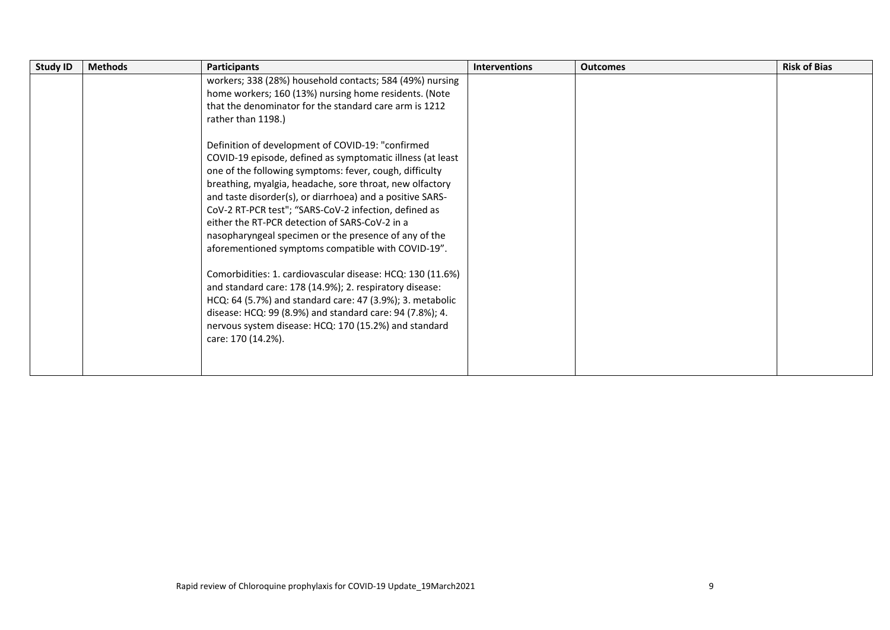| <b>Study ID</b> | <b>Methods</b> | <b>Participants</b>                                                                                                                                                                                                                                                                                                                                                                                                                                                                                                                                                                                                                                                                                                                                                                                                                                                                                                                                                                                                                                                 | <b>Interventions</b> | <b>Outcomes</b> | <b>Risk of Bias</b> |
|-----------------|----------------|---------------------------------------------------------------------------------------------------------------------------------------------------------------------------------------------------------------------------------------------------------------------------------------------------------------------------------------------------------------------------------------------------------------------------------------------------------------------------------------------------------------------------------------------------------------------------------------------------------------------------------------------------------------------------------------------------------------------------------------------------------------------------------------------------------------------------------------------------------------------------------------------------------------------------------------------------------------------------------------------------------------------------------------------------------------------|----------------------|-----------------|---------------------|
|                 |                | workers; 338 (28%) household contacts; 584 (49%) nursing<br>home workers; 160 (13%) nursing home residents. (Note<br>that the denominator for the standard care arm is 1212<br>rather than 1198.)<br>Definition of development of COVID-19: "confirmed<br>COVID-19 episode, defined as symptomatic illness (at least<br>one of the following symptoms: fever, cough, difficulty<br>breathing, myalgia, headache, sore throat, new olfactory<br>and taste disorder(s), or diarrhoea) and a positive SARS-<br>CoV-2 RT-PCR test"; "SARS-CoV-2 infection, defined as<br>either the RT-PCR detection of SARS-CoV-2 in a<br>nasopharyngeal specimen or the presence of any of the<br>aforementioned symptoms compatible with COVID-19".<br>Comorbidities: 1. cardiovascular disease: HCQ: 130 (11.6%)<br>and standard care: 178 (14.9%); 2. respiratory disease:<br>HCQ: 64 (5.7%) and standard care: 47 (3.9%); 3. metabolic<br>disease: HCQ: 99 (8.9%) and standard care: 94 (7.8%); 4.<br>nervous system disease: HCQ: 170 (15.2%) and standard<br>care: 170 (14.2%). |                      |                 |                     |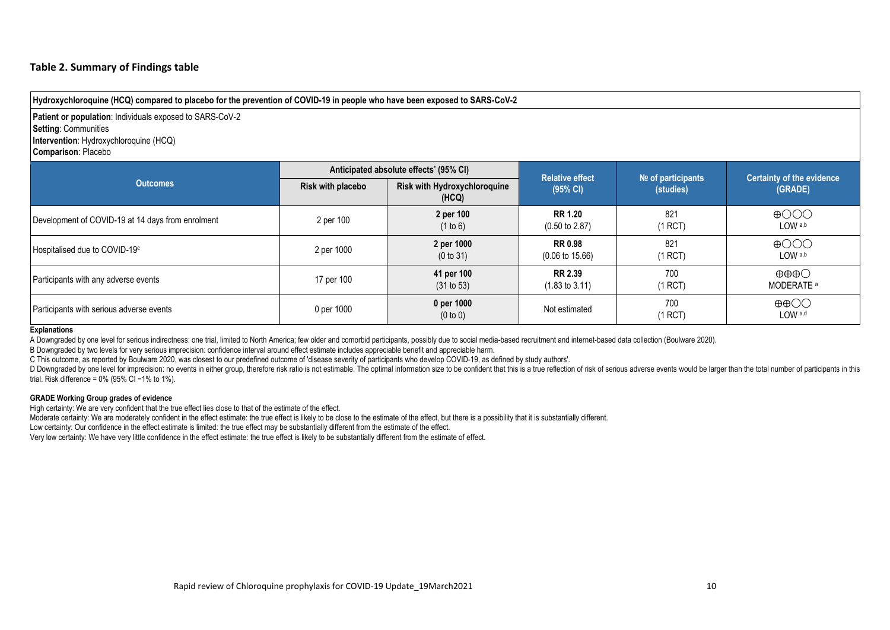#### **Table 2. Summary of Findings table**

**Hydroxychloroquine (HCQ) compared to placebo for the prevention of COVID-19 in people who have been exposed to SARS-CoV-2**

**Patient or population**: Individuals exposed to SARS-CoV-2 **Setting**: Communities **Intervention**: Hydroxychloroquine (HCQ) **Comparison**: Placebo

|                                                   |                   | Anticipated absolute effects' (95% CI) | <b>Relative effect</b>                       |                                   | <b>Certainty of the evidence</b><br>(GRADE)              |  |
|---------------------------------------------------|-------------------|----------------------------------------|----------------------------------------------|-----------------------------------|----------------------------------------------------------|--|
| <b>Outcomes</b>                                   | Risk with placebo | Risk with Hydroxychloroquine<br>(HCQ)  | (95% CI)                                     | $N2$ of participants<br>(studies) |                                                          |  |
| Development of COVID-19 at 14 days from enrolment | 2 per 100         | 2 per 100<br>(1 to 6)                  | <b>RR 1.20</b><br>$(0.50 \text{ to } 2.87)$  | 821<br>(1 RCT)                    | $\bigoplus$ OOO<br>LOW a,b                               |  |
| Hospitalised due to COVID-19 <sup>c</sup>         | 2 per 1000        | 2 per 1000<br>(0 to 31)                | <b>RR 0.98</b><br>$(0.06 \text{ to } 15.66)$ | 821<br>(1 RCT)                    | $\bigoplus$ OOO<br>LOW a,b                               |  |
| Participants with any adverse events              | 17 per 100        | 41 per 100<br>(31 to 53)               | <b>RR 2.39</b><br>$(1.83 \text{ to } 3.11)$  | 700<br>(1 RCT)                    | $\oplus \oplus \oplus \bigcirc$<br>MODERATE <sup>a</sup> |  |
| Participants with serious adverse events          | 0 per 1000        | 0 per 1000<br>(0 to 0)                 | Not estimated                                | 700<br>(1 RCT)                    | $\oplus$ $\oplus$<br>LOW a,d                             |  |

#### **Explanations**

A Downgraded by one level for serious indirectness: one trial, limited to North America; few older and comorbid participants, possibly due to social media-based recruitment and internet-based data collection (Boulware 2020).

B Downgraded by two levels for very serious imprecision: confidence interval around effect estimate includes appreciable benefit and appreciable harm.

C This outcome, as reported by Boulware 2020, was closest to our predefined outcome of 'disease severity of participants who develop COVID-19, as defined by study authors'.

D Downgraded by one level for imprecision: no events in either group, therefore risk ratio is not estimable. The optimal information size to be confident that this is a true reflection of risk of serious adverse events wou trial. Risk difference = 0% (95% CI −1% to 1%).

#### **GRADE Working Group grades of evidence**

High certainty: We are very confident that the true effect lies close to that of the estimate of the effect.

Moderate certainty: We are moderately confident in the effect estimate: the true effect is likely to be close to the estimate of the effect, but there is a possibility that it is substantially different.

Low certainty: Our confidence in the effect estimate is limited: the true effect may be substantially different from the estimate of the effect.

Very low certainty: We have very little confidence in the effect estimate: the true effect is likely to be substantially different from the estimate of effect.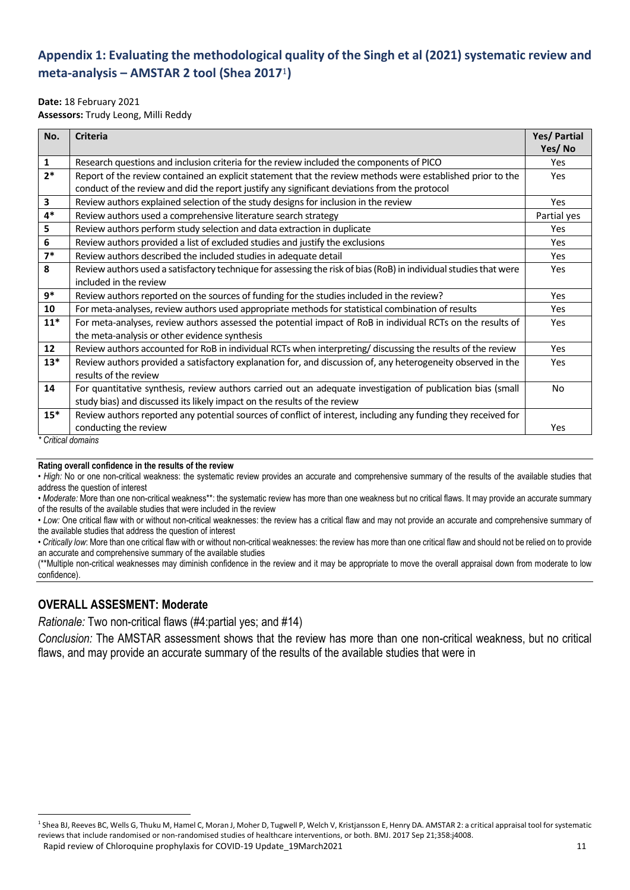# **Appendix 1: Evaluating the methodological quality of the Singh et al (2021) systematic review and meta-analysis – AMSTAR 2 tool (Shea 2017**1**)**

#### **Date:** 18 February 2021

**Assessors:** Trudy Leong, Milli Reddy

| No.          | <b>Criteria</b>                                                                                                   | Yes/ Partial |
|--------------|-------------------------------------------------------------------------------------------------------------------|--------------|
|              |                                                                                                                   | Yes/No       |
| $\mathbf{1}$ | Research questions and inclusion criteria for the review included the components of PICO                          | <b>Yes</b>   |
| $2*$         | Report of the review contained an explicit statement that the review methods were established prior to the        | Yes          |
|              | conduct of the review and did the report justify any significant deviations from the protocol                     |              |
| 3            | Review authors explained selection of the study designs for inclusion in the review                               | Yes          |
| $4*$         | Review authors used a comprehensive literature search strategy                                                    | Partial yes  |
| 5            | Review authors perform study selection and data extraction in duplicate                                           | Yes          |
| 6            | Review authors provided a list of excluded studies and justify the exclusions                                     | Yes          |
| $7*$         | Review authors described the included studies in adequate detail                                                  | Yes          |
| 8            | Review authors used a satisfactory technique for assessing the risk of bias (RoB) in individual studies that were | Yes          |
|              | included in the review                                                                                            |              |
| 9*           | Review authors reported on the sources of funding for the studies included in the review?                         | Yes          |
| 10           | For meta-analyses, review authors used appropriate methods for statistical combination of results                 | Yes          |
| $11*$        | For meta-analyses, review authors assessed the potential impact of RoB in individual RCTs on the results of       | Yes          |
|              | the meta-analysis or other evidence synthesis                                                                     |              |
| 12           | Review authors accounted for RoB in individual RCTs when interpreting/ discussing the results of the review       | Yes          |
| $13*$        | Review authors provided a satisfactory explanation for, and discussion of, any heterogeneity observed in the      | Yes          |
|              | results of the review                                                                                             |              |
| 14           | For quantitative synthesis, review authors carried out an adequate investigation of publication bias (small       | No           |
|              | study bias) and discussed its likely impact on the results of the review                                          |              |
| $15*$        | Review authors reported any potential sources of conflict of interest, including any funding they received for    |              |
|              | conducting the review                                                                                             | Yes          |

*\* Critical domains*

#### **Rating overall confidence in the results of the review**

• *High:* No or one non-critical weakness: the systematic review provides an accurate and comprehensive summary of the results of the available studies that address the question of interest

*• Moderate:* More than one non-critical weakness\*\*: the systematic review has more than one weakness but no critical flaws. It may provide an accurate summary of the results of the available studies that were included in the review

*• Low:* One critical flaw with or without non-critical weaknesses: the review has a critical flaw and may not provide an accurate and comprehensive summary of the available studies that address the question of interest

• *Critically low*: More than one critical flaw with or without non-critical weaknesses: the review has more than one critical flaw and should not be relied on to provide an accurate and comprehensive summary of the available studies

(\*\*Multiple non-critical weaknesses may diminish confidence in the review and it may be appropriate to move the overall appraisal down from moderate to low confidence).

# **OVERALL ASSESMENT: Moderate**

*Rationale:* Two non-critical flaws (#4:partial yes; and #14)

*Conclusion:* The AMSTAR assessment shows that the review has more than one non-critical weakness, but no critical flaws, and may provide an accurate summary of the results of the available studies that were in

Rapid review of Chloroquine prophylaxis for COVID-19 Update 19March2021 11 11 **.** <sup>1</sup> Shea BJ, Reeves BC, Wells G, Thuku M, Hamel C, Moran J, Moher D, Tugwell P, Welch V, Kristjansson E, Henry DA. AMSTAR 2: a critical appraisal tool for systematic reviews that include randomised or non-randomised studies of healthcare interventions, or both. BMJ. 2017 Sep 21;358:j4008.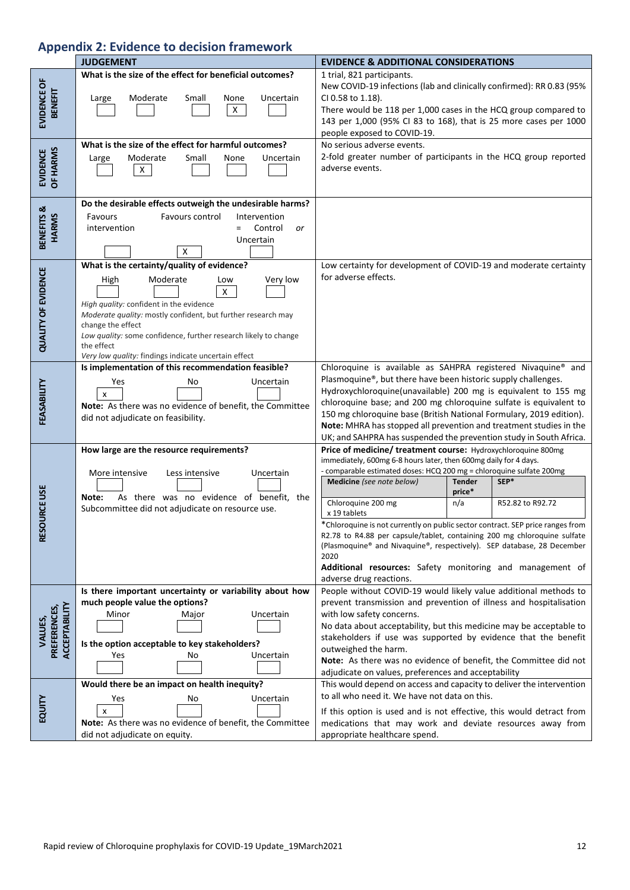# **Appendix 2: Evidence to decision framework**

|                                          | <b>JUDGEMENT</b>                                                                                                                                                                                                                                                                                                                                                           | <b>EVIDENCE &amp; ADDITIONAL CONSIDERATIONS</b>                                                                                                                                                                                                                                                                                                                                                                                                                                                                                                                                                                                                                                    |  |  |
|------------------------------------------|----------------------------------------------------------------------------------------------------------------------------------------------------------------------------------------------------------------------------------------------------------------------------------------------------------------------------------------------------------------------------|------------------------------------------------------------------------------------------------------------------------------------------------------------------------------------------------------------------------------------------------------------------------------------------------------------------------------------------------------------------------------------------------------------------------------------------------------------------------------------------------------------------------------------------------------------------------------------------------------------------------------------------------------------------------------------|--|--|
| EVIDENCE OF<br><b>BENEFIT</b>            | What is the size of the effect for beneficial outcomes?<br>Moderate<br>Small<br>None<br>Uncertain<br>Large<br>$\mathsf{X}^-$                                                                                                                                                                                                                                               | 1 trial, 821 participants.<br>New COVID-19 infections (lab and clinically confirmed): RR 0.83 (95%<br>CI 0.58 to 1.18).<br>There would be 118 per 1,000 cases in the HCQ group compared to<br>143 per 1,000 (95% CI 83 to 168), that is 25 more cases per 1000<br>people exposed to COVID-19.                                                                                                                                                                                                                                                                                                                                                                                      |  |  |
| OF HARMS<br><b>EVIDENCE</b>              | What is the size of the effect for harmful outcomes?<br>Moderate<br>Uncertain<br>Small<br>None<br>Large<br>x                                                                                                                                                                                                                                                               | No serious adverse events.<br>2-fold greater number of participants in the HCQ group reported<br>adverse events.                                                                                                                                                                                                                                                                                                                                                                                                                                                                                                                                                                   |  |  |
| BENEFITS &<br><b>HARMS</b>               | Do the desirable effects outweigh the undesirable harms?<br>Favours control<br>Favours<br>Intervention<br>Control<br>intervention<br>$=$<br>or<br>Uncertain<br>х                                                                                                                                                                                                           |                                                                                                                                                                                                                                                                                                                                                                                                                                                                                                                                                                                                                                                                                    |  |  |
| <b>QUALITY OF EVIDENCE</b>               | What is the certainty/quality of evidence?<br>Very low<br>Moderate<br>High<br>Low<br>$\mathsf{X}$<br>High quality: confident in the evidence<br>Moderate quality: mostly confident, but further research may<br>change the effect<br>Low quality: some confidence, further research likely to change<br>the effect<br>Very low quality: findings indicate uncertain effect | Low certainty for development of COVID-19 and moderate certainty<br>for adverse effects.                                                                                                                                                                                                                                                                                                                                                                                                                                                                                                                                                                                           |  |  |
| FEASABILITY                              | Is implementation of this recommendation feasible?<br>Yes<br>Uncertain<br>No<br>$\boldsymbol{\mathsf{x}}$<br>Note: As there was no evidence of benefit, the Committee<br>did not adjudicate on feasibility.                                                                                                                                                                | Chloroquine is available as SAHPRA registered Nivaquine® and<br>Plasmoquine®, but there have been historic supply challenges.<br>Hydroxychloroquine(unavailable) 200 mg is equivalent to 155 mg<br>chloroquine base; and 200 mg chloroquine sulfate is equivalent to<br>150 mg chloroquine base (British National Formulary, 2019 edition).<br>Note: MHRA has stopped all prevention and treatment studies in the<br>UK; and SAHPRA has suspended the prevention study in South Africa.                                                                                                                                                                                            |  |  |
| <b>OURCE USE</b><br>RES                  | How large are the resource requirements?<br>More intensive<br>Less intensive<br>Uncertain<br>As there was no evidence of benefit, the<br>Note:<br>Subcommittee did not adjudicate on resource use.                                                                                                                                                                         | Price of medicine/ treatment course: Hydroxychloroquine 800mg<br>immediately, 600mg 6-8 hours later, then 600mg daily for 4 days.<br>- comparable estimated doses: HCQ 200 mg = chloroquine sulfate 200mg<br>Medicine (see note below)<br>SEP*<br><b>Tender</b><br>price*<br>Chloroquine 200 mg<br>n/a<br>R52.82 to R92.72<br>x 19 tablets<br>*Chloroquine is not currently on public sector contract. SEP price ranges from<br>R2.78 to R4.88 per capsule/tablet, containing 200 mg chloroquine sulfate<br>(Plasmoquine® and Nivaquine®, respectively). SEP database, 28 December<br>2020<br>Additional resources: Safety monitoring and management of<br>adverse drug reactions. |  |  |
| ACCEPTABILITY<br>PREFERENCES,<br>VALUES, | Is there important uncertainty or variability about how<br>much people value the options?<br>Minor<br>Uncertain<br>Major<br>Is the option acceptable to key stakeholders?<br>Uncertain<br>Yes<br>No                                                                                                                                                                        | People without COVID-19 would likely value additional methods to<br>prevent transmission and prevention of illness and hospitalisation<br>with low safety concerns.<br>No data about acceptability, but this medicine may be acceptable to<br>stakeholders if use was supported by evidence that the benefit<br>outweighed the harm.<br>Note: As there was no evidence of benefit, the Committee did not<br>adjudicate on values, preferences and acceptability                                                                                                                                                                                                                    |  |  |
| EQUITY                                   | Would there be an impact on health inequity?<br>Yes<br>Uncertain<br>No<br>$\boldsymbol{\mathsf{x}}$<br>Note: As there was no evidence of benefit, the Committee<br>did not adjudicate on equity.                                                                                                                                                                           | This would depend on access and capacity to deliver the intervention<br>to all who need it. We have not data on this.<br>If this option is used and is not effective, this would detract from<br>medications that may work and deviate resources away from<br>appropriate healthcare spend.                                                                                                                                                                                                                                                                                                                                                                                        |  |  |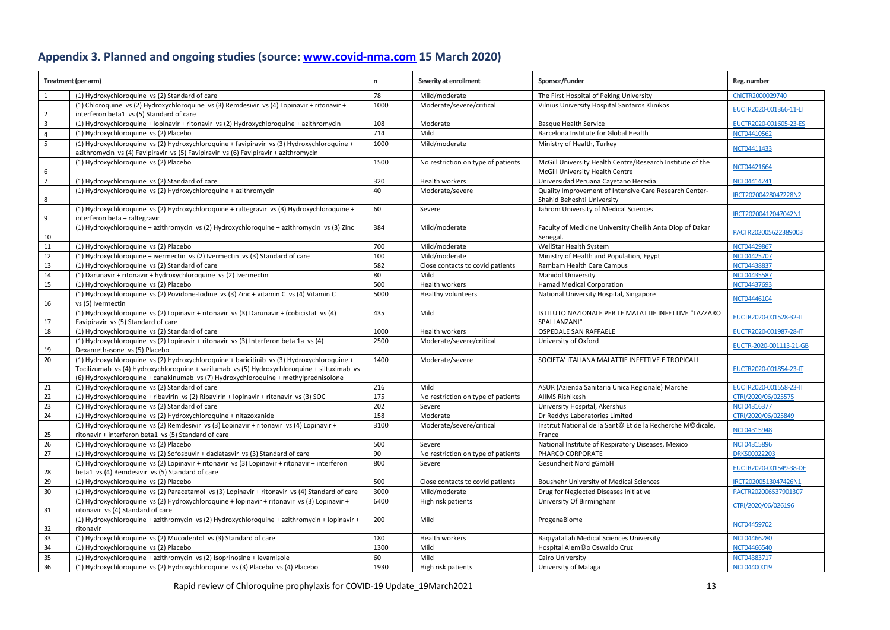# **Appendix 3. Planned and ongoing studies (source: [www.covid-nma.com](http://www.covid-nma.com/) 15 March 2020)**

|                         | Treatment (per arm)                                                                                                                              | n    | Severity at enrollment             | Sponsor/Funder                                                                               | Reg. number             |
|-------------------------|--------------------------------------------------------------------------------------------------------------------------------------------------|------|------------------------------------|----------------------------------------------------------------------------------------------|-------------------------|
| 1                       | (1) Hydroxychloroquine vs (2) Standard of care                                                                                                   | 78   | Mild/moderate                      | The First Hospital of Peking University                                                      | ChiCTR2000029740        |
| $\overline{2}$          | (1) Chloroquine vs (2) Hydroxychloroquine vs (3) Remdesivir vs (4) Lopinavir + ritonavir +<br>interferon beta1 vs (5) Standard of care           | 1000 | Moderate/severe/critical           | Vilnius University Hospital Santaros Klinikos                                                | EUCTR2020-001366-11-LT  |
| $\overline{\mathbf{3}}$ | (1) Hydroxychloroquine + lopinavir + ritonavir vs (2) Hydroxychloroquine + azithromycin                                                          | 108  | Moderate                           | <b>Basque Health Service</b>                                                                 | EUCTR2020-001605-23-ES  |
| $\overline{4}$          | (1) Hydroxychloroquine vs (2) Placebo                                                                                                            | 714  | Mild                               | Barcelona Institute for Global Health                                                        | NCT04410562             |
| 5                       | (1) Hydroxychloroquine vs (2) Hydroxychloroquine + favipiravir vs (3) Hydroxychloroquine +                                                       | 1000 | Mild/moderate                      | Ministry of Health, Turkey                                                                   |                         |
|                         | azithromycin vs (4) Favipiravir vs (5) Favipiravir vs (6) Favipiravir + azithromycin                                                             |      |                                    |                                                                                              | NCT04411433             |
| 6                       | (1) Hydroxychloroquine vs (2) Placebo                                                                                                            | 1500 | No restriction on type of patients | McGill University Health Centre/Research Institute of the<br>McGill University Health Centre | NCT04421664             |
| $\overline{7}$          | (1) Hydroxychloroquine vs (2) Standard of care                                                                                                   | 320  | Health workers                     | Universidad Peruana Cayetano Heredia                                                         | NCT04414241             |
|                         | (1) Hydroxychloroquine vs (2) Hydroxychloroquine + azithromycin                                                                                  | 40   | Moderate/severe                    | Quality Improvement of Intensive Care Research Center-                                       |                         |
| 8                       |                                                                                                                                                  |      |                                    | Shahid Beheshti University                                                                   | IRCT20200428047228N2    |
| 9                       | (1) Hydroxychloroquine vs (2) Hydroxychloroquine + raltegravir vs (3) Hydroxychloroquine +<br>interferon beta + raltegravir                      | 60   | Severe                             | Jahrom University of Medical Sciences                                                        | IRCT20200412047042N1    |
| 10                      | (1) Hydroxychloroquine + azithromycin vs (2) Hydroxychloroquine + azithromycin vs (3) Zinc                                                       | 384  | Mild/moderate                      | Faculty of Medicine University Cheikh Anta Diop of Dakar<br>Senegal.                         | PACTR202005622389003    |
| 11                      | (1) Hydroxychloroquine vs (2) Placebo                                                                                                            | 700  | Mild/moderate                      | WellStar Health System                                                                       | NCT04429867             |
| 12                      | (1) Hydroxychloroquine + ivermectin vs (2) Ivermectin vs (3) Standard of care                                                                    | 100  | Mild/moderate                      | Ministry of Health and Population, Egypt                                                     | NCT04425707             |
| 13                      | (1) Hydroxychloroquine vs (2) Standard of care                                                                                                   | 582  | Close contacts to covid patients   | Rambam Health Care Campus                                                                    | NCT04438837             |
| $14\,$                  | (1) Darunavir + ritonavir + hydroxychloroquine vs (2) Ivermectin                                                                                 | 80   | Mild                               | <b>Mahidol University</b>                                                                    | NCT04435587             |
| 15                      | (1) Hydroxychloroquine vs (2) Placebo                                                                                                            | 500  | Health workers                     | <b>Hamad Medical Corporation</b>                                                             | NCT04437693             |
| 16                      | (1) Hydroxychloroquine vs (2) Povidone-Iodine vs (3) Zinc + vitamin C vs (4) Vitamin C<br>vs (5) Ivermectin                                      | 5000 | Healthy volunteers                 | National University Hospital, Singapore                                                      | NCT04446104             |
| 17                      | (1) Hydroxychloroquine vs (2) Lopinavir + ritonavir vs (3) Darunavir + (cobicistat vs (4)<br>Favipiravir vs (5) Standard of care                 | 435  | Mild                               | ISTITUTO NAZIONALE PER LE MALATTIE INFETTIVE "LAZZARO<br>SPALLANZANI"                        | EUCTR2020-001528-32-IT  |
| 18                      | (1) Hydroxychloroquine vs (2) Standard of care                                                                                                   | 1000 | Health workers                     | OSPEDALE SAN RAFFAELE                                                                        | EUCTR2020-001987-28-IT  |
|                         | (1) Hydroxychloroquine vs (2) Lopinavir + ritonavir vs (3) Interferon beta 1a vs (4)                                                             | 2500 | Moderate/severe/critical           | University of Oxford                                                                         |                         |
| 19                      | Dexamethasone vs (5) Placebo                                                                                                                     |      |                                    |                                                                                              | EUCTR-2020-001113-21-GB |
| 20                      | (1) Hydroxychloroquine vs (2) Hydroxychloroquine + baricitinib vs (3) Hydroxychloroquine +                                                       | 1400 | Moderate/severe                    | SOCIETA' ITALIANA MALATTIE INFETTIVE E TROPICALI                                             |                         |
|                         | Tocilizumab vs (4) Hydroxychloroquine + sarilumab vs (5) Hydroxychloroquine + siltuximab vs                                                      |      |                                    |                                                                                              | EUCTR2020-001854-23-IT  |
|                         | (6) Hydroxychloroquine + canakinumab vs (7) Hydroxychloroquine + methylprednisolone                                                              |      |                                    |                                                                                              |                         |
| 21                      | (1) Hydroxychloroquine vs (2) Standard of care                                                                                                   | 216  | Mild                               | ASUR (Azienda Sanitaria Unica Regionale) Marche                                              | EUCTR2020-001558-23-IT  |
| 22                      | (1) Hydroxychloroquine + ribavirin vs (2) Ribavirin + lopinavir + ritonavir vs (3) SOC                                                           | 175  | No restriction on type of patients | <b>AIIMS Rishikesh</b>                                                                       | CTRI/2020/06/025575     |
| 23                      | (1) Hydroxychloroquine vs (2) Standard of care                                                                                                   | 202  | Severe                             | University Hospital, Akershus                                                                | NCT04316377             |
| 24                      | (1) Hydroxychloroquine vs (2) Hydroxychloroquine + nitazoxanide                                                                                  | 158  | Moderate                           | Dr Reddys Laboratories Limited                                                               | CTRI/2020/06/025849     |
|                         | (1) Hydroxychloroquine vs (2) Remdesivir vs (3) Lopinavir + ritonavir vs (4) Lopinavir +                                                         | 3100 | Moderate/severe/critical           | Institut National de la Sant <sup>®</sup> Et de la Recherche M <sup>®</sup> dicale,          | NCT04315948             |
| 25                      | ritonavir + interferon beta1 vs (5) Standard of care                                                                                             |      |                                    | France                                                                                       |                         |
| 26                      | (1) Hydroxychloroquine vs (2) Placebo                                                                                                            | 500  | Severe                             | National Institute of Respiratory Diseases, Mexico                                           | NCT04315896             |
| 27                      | (1) Hydroxychloroquine vs (2) Sofosbuvir + daclatasvir vs (3) Standard of care                                                                   | 90   | No restriction on type of patients | PHARCO CORPORATE                                                                             | DRKS00022203            |
| 28                      | (1) Hydroxychloroquine vs (2) Lopinavir + ritonavir vs (3) Lopinavir + ritonavir + interferon<br>beta1 vs (4) Remdesivir vs (5) Standard of care | 800  | Severe                             | Gesundheit Nord gGmbH                                                                        | EUCTR2020-001549-38-DE  |
| 29                      | (1) Hydroxychloroquine vs (2) Placebo                                                                                                            | 500  | Close contacts to covid patients   | <b>Boushehr University of Medical Sciences</b>                                               | IRCT20200513047426N1    |
| 30                      | (1) Hydroxychloroquine vs (2) Paracetamol vs (3) Lopinavir + ritonavir vs (4) Standard of care                                                   | 3000 | Mild/moderate                      | Drug for Neglected Diseases initiative                                                       | PACTR202006537901307    |
| 31                      | (1) Hydroxychloroquine vs (2) Hydroxychloroquine + lopinavir + ritonavir vs (3) Lopinavir +<br>ritonavir vs (4) Standard of care                 | 6400 | High risk patients                 | University Of Birmingham                                                                     | CTRI/2020/06/026196     |
|                         | (1) Hydroxychloroquine + azithromycin vs (2) Hydroxychloroquine + azithromycin + lopinavir +                                                     | 200  | Mild                               | ProgenaBiome                                                                                 |                         |
| 32                      | ritonavir                                                                                                                                        |      |                                    |                                                                                              | NCT04459702             |
| 33                      | (1) Hydroxychloroquine vs (2) Mucodentol vs (3) Standard of care                                                                                 | 180  | Health workers                     | Bagiyatallah Medical Sciences University                                                     | NCT04466280             |
| 34                      | (1) Hydroxychloroguine vs (2) Placebo                                                                                                            | 1300 | Mild                               | Hospital Alem <sup>@</sup> o Oswaldo Cruz                                                    | NCT04466540             |
| 35                      | (1) Hydroxychloroquine + azithromycin vs (2) Isoprinosine + levamisole                                                                           | 60   | Mild                               | Cairo University                                                                             | NCT04383717             |
| 36                      | (1) Hydroxychloroquine vs (2) Hydroxychloroquine vs (3) Placebo vs (4) Placebo                                                                   | 1930 | High risk patients                 | University of Malaga                                                                         | NCT04400019             |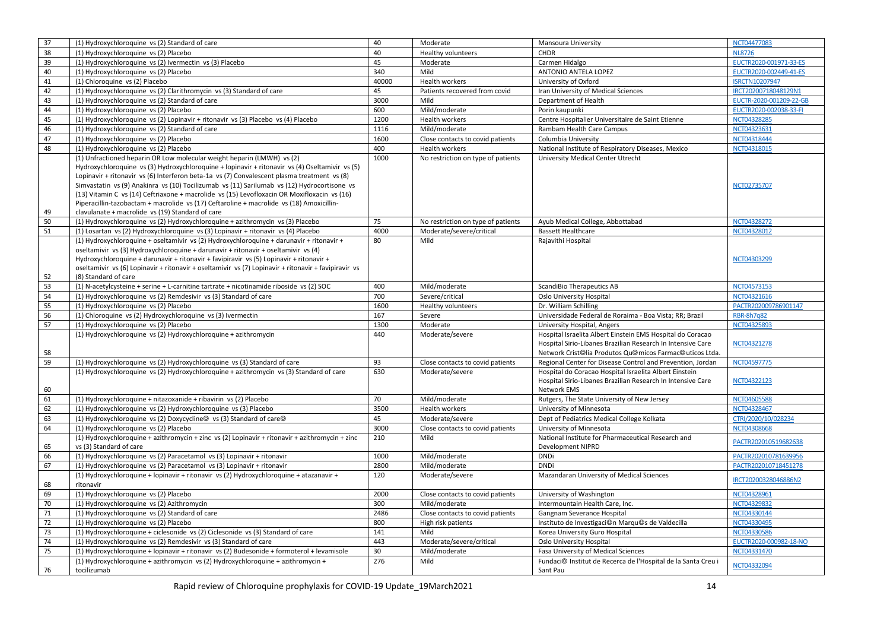| 37 | (1) Hydroxychloroquine vs (2) Standard of care                                                                                                                                                                                                                                                                                                                                                                                                                                                                                              | 40    | Moderate                           | Mansoura University                                                                                                                                                                                            | NCT04477083             |
|----|---------------------------------------------------------------------------------------------------------------------------------------------------------------------------------------------------------------------------------------------------------------------------------------------------------------------------------------------------------------------------------------------------------------------------------------------------------------------------------------------------------------------------------------------|-------|------------------------------------|----------------------------------------------------------------------------------------------------------------------------------------------------------------------------------------------------------------|-------------------------|
| 38 | (1) Hydroxychloroquine vs (2) Placebo                                                                                                                                                                                                                                                                                                                                                                                                                                                                                                       | 40    | Healthy volunteers                 | CHDR                                                                                                                                                                                                           | <b>NL8726</b>           |
| 39 | (1) Hydroxychloroquine vs (2) Ivermectin vs (3) Placebo                                                                                                                                                                                                                                                                                                                                                                                                                                                                                     | 45    | Moderate                           | Carmen Hidalgo                                                                                                                                                                                                 | EUCTR2020-001971-33-ES  |
| 40 | (1) Hydroxychloroquine vs (2) Placebo                                                                                                                                                                                                                                                                                                                                                                                                                                                                                                       | 340   | Mild                               | ANTONIO ANTELA LOPEZ                                                                                                                                                                                           | EUCTR2020-002449-41-ES  |
| 41 | (1) Chloroquine vs (2) Placebo                                                                                                                                                                                                                                                                                                                                                                                                                                                                                                              | 40000 | Health workers                     | University of Oxford                                                                                                                                                                                           | <b>ISRCTN10207947</b>   |
| 42 | (1) Hydroxychloroquine vs (2) Clarithromycin vs (3) Standard of care                                                                                                                                                                                                                                                                                                                                                                                                                                                                        | 45    | Patients recovered from covid      | Iran University of Medical Sciences                                                                                                                                                                            | IRCT20200718048129N1    |
| 43 | (1) Hydroxychloroquine vs (2) Standard of care                                                                                                                                                                                                                                                                                                                                                                                                                                                                                              | 3000  | Mild                               | Department of Health                                                                                                                                                                                           | EUCTR-2020-001209-22-GB |
| 44 | (1) Hydroxychloroquine vs (2) Placebo                                                                                                                                                                                                                                                                                                                                                                                                                                                                                                       | 600   | Mild/moderate                      | Porin kaupunki                                                                                                                                                                                                 | EUCTR2020-002038-33-FI  |
| 45 | (1) Hydroxychloroquine vs (2) Lopinavir + ritonavir vs (3) Placebo vs (4) Placebo                                                                                                                                                                                                                                                                                                                                                                                                                                                           | 1200  | Health workers                     | Centre Hospitalier Universitaire de Saint Etienne                                                                                                                                                              | NCT04328285             |
| 46 | (1) Hydroxychloroquine vs (2) Standard of care                                                                                                                                                                                                                                                                                                                                                                                                                                                                                              | 1116  | Mild/moderate                      | Rambam Health Care Campus                                                                                                                                                                                      | NCT04323631             |
| 47 | (1) Hydroxychloroquine vs (2) Placebo                                                                                                                                                                                                                                                                                                                                                                                                                                                                                                       | 1600  | Close contacts to covid patients   | Columbia University                                                                                                                                                                                            | NCT04318444             |
| 48 | (1) Hydroxychloroquine vs (2) Placebo                                                                                                                                                                                                                                                                                                                                                                                                                                                                                                       | 400   | Health workers                     | National Institute of Respiratory Diseases, Mexico                                                                                                                                                             | NCT04318015             |
|    | (1) Unfractioned heparin OR Low molecular weight heparin (LMWH) vs (2)                                                                                                                                                                                                                                                                                                                                                                                                                                                                      | 1000  | No restriction on type of patients | University Medical Center Utrecht                                                                                                                                                                              |                         |
| 49 | Hydroxychloroquine vs (3) Hydroxychloroquine + lopinavir + ritonavir vs (4) Oseltamivir vs (5)<br>Lopinavir + ritonavir vs (6) Interferon beta-1a vs (7) Convalescent plasma treatment vs (8)<br>Simvastatin vs (9) Anakinra vs (10) Tocilizumab vs (11) Sarilumab vs (12) Hydrocortisone vs<br>(13) Vitamin C vs (14) Ceftriaxone + macrolide vs (15) Levofloxacin OR Moxifloxacin vs (16)<br>Piperacillin-tazobactam + macrolide vs (17) Ceftaroline + macrolide vs (18) Amoxicillin-<br>clavulanate + macrolide vs (19) Standard of care |       |                                    |                                                                                                                                                                                                                | NCT02735707             |
| 50 | (1) Hydroxychloroquine vs (2) Hydroxychloroquine + azithromycin vs (3) Placebo                                                                                                                                                                                                                                                                                                                                                                                                                                                              | 75    | No restriction on type of patients | Ayub Medical College, Abbottabad                                                                                                                                                                               | NCT04328272             |
| 51 | (1) Losartan vs (2) Hydroxychloroquine vs (3) Lopinavir + ritonavir vs (4) Placebo                                                                                                                                                                                                                                                                                                                                                                                                                                                          | 4000  | Moderate/severe/critical           | <b>Bassett Healthcare</b>                                                                                                                                                                                      | NCT04328012             |
|    | (1) Hydroxychloroquine + oseltamivir vs (2) Hydroxychloroquine + darunavir + ritonavir +                                                                                                                                                                                                                                                                                                                                                                                                                                                    | 80    | Mild                               | Rajavithi Hospital                                                                                                                                                                                             |                         |
| 52 | oseltamivir vs (3) Hydroxychloroquine + darunavir + ritonavir + oseltamivir vs (4)<br>Hydroxychloroquine + darunavir + ritonavir + favipiravir vs (5) Lopinavir + ritonavir +<br>oseltamivir vs (6) Lopinavir + ritonavir + oseltamivir vs (7) Lopinavir + ritonavir + favipiravir vs<br>(8) Standard of care                                                                                                                                                                                                                               |       |                                    |                                                                                                                                                                                                                | NCT04303299             |
| 53 | (1) N-acetylcysteine + serine + L-carnitine tartrate + nicotinamide riboside vs (2) SOC                                                                                                                                                                                                                                                                                                                                                                                                                                                     | 400   | Mild/moderate                      | <b>ScandiBio Therapeutics AB</b>                                                                                                                                                                               | NCT04573153             |
| 54 | (1) Hydroxychloroquine vs (2) Remdesivir vs (3) Standard of care                                                                                                                                                                                                                                                                                                                                                                                                                                                                            | 700   | Severe/critical                    | Oslo University Hospital                                                                                                                                                                                       | NCT04321616             |
| 55 | (1) Hydroxychloroquine vs (2) Placebo                                                                                                                                                                                                                                                                                                                                                                                                                                                                                                       | 1600  | Healthy volunteers                 | Dr. William Schilling                                                                                                                                                                                          | PACTR202009786901147    |
| 56 | (1) Chloroquine vs (2) Hydroxychloroquine vs (3) Ivermectin                                                                                                                                                                                                                                                                                                                                                                                                                                                                                 | 167   | Severe                             | Universidade Federal de Roraima - Boa Vista; RR; Brazil                                                                                                                                                        | <b>RBR-8h7q82</b>       |
| 57 | (1) Hydroxychloroquine vs (2) Placebo                                                                                                                                                                                                                                                                                                                                                                                                                                                                                                       | 1300  | Moderate                           | University Hospital, Angers                                                                                                                                                                                    | NCT04325893             |
| 58 | (1) Hydroxychloroquine vs (2) Hydroxychloroquine + azithromycin                                                                                                                                                                                                                                                                                                                                                                                                                                                                             | 440   | Moderate/severe                    | Hospital Israelita Albert Einstein EMS Hospital do Coracao<br>Hospital Sirio-Libanes Brazilian Research In Intensive Care<br>Network Crist <sup>@</sup> lia Produtos Qu <sup>@</sup> micos Farmac@uticos Ltda. | NCT04321278             |
| 59 | (1) Hydroxychloroquine vs (2) Hydroxychloroquine vs (3) Standard of care                                                                                                                                                                                                                                                                                                                                                                                                                                                                    | 93    | Close contacts to covid patients   | Regional Center for Disease Control and Prevention, Jordan                                                                                                                                                     | NCT04597775             |
| 60 | (1) Hydroxychloroquine vs (2) Hydroxychloroquine + azithromycin vs (3) Standard of care                                                                                                                                                                                                                                                                                                                                                                                                                                                     | 630   | Moderate/severe                    | Hospital do Coracao Hospital Israelita Albert Einstein<br>Hospital Sirio-Libanes Brazilian Research In Intensive Care<br><b>Network EMS</b>                                                                    | NCT04322123             |
| 61 | (1) Hydroxychloroquine + nitazoxanide + ribavirin vs (2) Placebo                                                                                                                                                                                                                                                                                                                                                                                                                                                                            | 70    | Mild/moderate                      | Rutgers, The State University of New Jersey                                                                                                                                                                    | <b>NCT04605588</b>      |
| 62 | (1) Hydroxychloroquine vs (2) Hydroxychloroquine vs (3) Placebo                                                                                                                                                                                                                                                                                                                                                                                                                                                                             | 3500  | <b>Health workers</b>              | University of Minnesota                                                                                                                                                                                        | NCT04328467             |
| 63 | (1) Hydroxychloroquine vs (2) Doxycycline <sup>®</sup> vs (3) Standard of care <sup>®</sup>                                                                                                                                                                                                                                                                                                                                                                                                                                                 | 45    | Moderate/severe                    | Dept of Pediatrics Medical College Kolkata                                                                                                                                                                     | CTRI/2020/10/028234     |
| 64 | (1) Hydroxychloroquine vs (2) Placebo                                                                                                                                                                                                                                                                                                                                                                                                                                                                                                       | 3000  | Close contacts to covid patients   | University of Minnesota                                                                                                                                                                                        | NCT04308668             |
| 65 | (1) Hydroxychloroquine + azithromycin + zinc vs (2) Lopinavir + ritonavir + azithromycin + zinc<br>vs (3) Standard of care                                                                                                                                                                                                                                                                                                                                                                                                                  | 210   | Mild                               | National Institute for Pharmaceutical Research and<br>Development NIPRD                                                                                                                                        | PACTR202010519682638    |
| 66 | (1) Hydroxychloroquine vs (2) Paracetamol vs (3) Lopinavir + ritonavir                                                                                                                                                                                                                                                                                                                                                                                                                                                                      | 1000  | Mild/moderate                      | <b>DNDi</b>                                                                                                                                                                                                    | PACTR202010781639956    |
| 67 | (1) Hydroxychloroquine vs (2) Paracetamol vs (3) Lopinavir + ritonavir                                                                                                                                                                                                                                                                                                                                                                                                                                                                      | 2800  | Mild/moderate                      | <b>DNDi</b>                                                                                                                                                                                                    | PACTR202010718451278    |
| 68 | (1) Hydroxychloroquine + lopinavir + ritonavir vs (2) Hydroxychloroquine + atazanavir +<br>ritonavir                                                                                                                                                                                                                                                                                                                                                                                                                                        | 120   | Moderate/severe                    | Mazandaran University of Medical Sciences                                                                                                                                                                      | IRCT20200328046886N2    |
| 69 | (1) Hydroxychloroquine vs (2) Placebo                                                                                                                                                                                                                                                                                                                                                                                                                                                                                                       | 2000  | Close contacts to covid patients   | University of Washington                                                                                                                                                                                       | NCT04328961             |
| 70 | (1) Hydroxychloroquine vs (2) Azithromycin                                                                                                                                                                                                                                                                                                                                                                                                                                                                                                  | 300   | Mild/moderate                      | Intermountain Health Care, Inc.                                                                                                                                                                                | NCT04329832             |
| 71 | (1) Hydroxychloroquine vs (2) Standard of care                                                                                                                                                                                                                                                                                                                                                                                                                                                                                              | 2486  | Close contacts to covid patients   | Gangnam Severance Hospital                                                                                                                                                                                     | NCT04330144             |
| 72 | (1) Hydroxychloroquine vs (2) Placebo                                                                                                                                                                                                                                                                                                                                                                                                                                                                                                       | 800   | High risk patients                 | Instituto de Investigaci©n Marqu©s de Valdecilla                                                                                                                                                               | NCT04330495             |
| 73 | (1) Hydroxychloroquine + ciclesonide vs (2) Ciclesonide vs (3) Standard of care                                                                                                                                                                                                                                                                                                                                                                                                                                                             | 141   | Mild                               | Korea University Guro Hospital                                                                                                                                                                                 | NCT04330586             |
| 74 | (1) Hydroxychloroquine vs (2) Remdesivir vs (3) Standard of care                                                                                                                                                                                                                                                                                                                                                                                                                                                                            | 443   | Moderate/severe/critical           | Oslo University Hospital                                                                                                                                                                                       | EUCTR2020-000982-18-NO  |
| 75 | (1) Hydroxychloroquine + lopinavir + ritonavir vs (2) Budesonide + formoterol + levamisole                                                                                                                                                                                                                                                                                                                                                                                                                                                  | 30    | Mild/moderate                      | Fasa University of Medical Sciences                                                                                                                                                                            | NCT04331470             |
| 76 | (1) Hydroxychloroquine + azithromycin vs (2) Hydroxychloroquine + azithromycin +<br>tocilizumab                                                                                                                                                                                                                                                                                                                                                                                                                                             | 276   | Mild                               | Fundaci <sup>®</sup> Institut de Recerca de l'Hospital de la Santa Creu i<br>Sant Pau                                                                                                                          | NCT04332094             |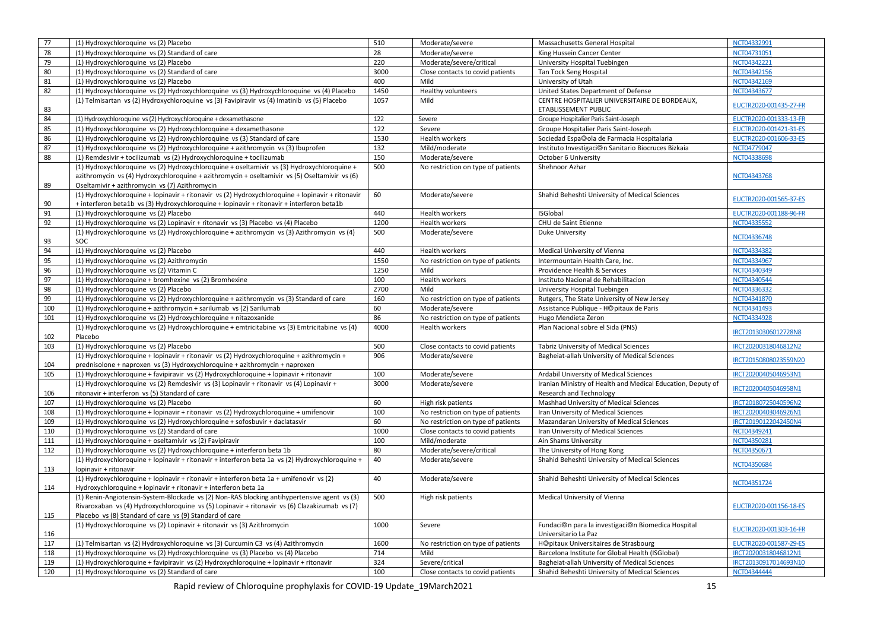| 77  | (1) Hydroxychloroquine vs (2) Placebo                                                                                                                                                                                                                   | 510  | Moderate/severe                    | Massachusetts General Hospital                                                         | NCT04332991            |
|-----|---------------------------------------------------------------------------------------------------------------------------------------------------------------------------------------------------------------------------------------------------------|------|------------------------------------|----------------------------------------------------------------------------------------|------------------------|
| 78  | (1) Hydroxychloroquine vs (2) Standard of care                                                                                                                                                                                                          | 28   | Moderate/severe                    | King Hussein Cancer Center                                                             | NCT04731051            |
| 79  | (1) Hydroxychloroquine vs (2) Placebo                                                                                                                                                                                                                   | 220  | Moderate/severe/critical           | University Hospital Tuebingen                                                          | NCT04342221            |
| 80  | (1) Hydroxychloroquine vs (2) Standard of care                                                                                                                                                                                                          | 3000 | Close contacts to covid patients   | Tan Tock Seng Hospital                                                                 | NCT04342156            |
| 81  | (1) Hydroxychloroquine vs (2) Placebo                                                                                                                                                                                                                   | 400  | Mild                               | University of Utah                                                                     | NCT04342169            |
| 82  | (1) Hydroxychloroquine vs (2) Hydroxychloroquine vs (3) Hydroxychloroquine vs (4) Placebo                                                                                                                                                               | 1450 | Healthy volunteers                 | United States Department of Defense                                                    | NCT04343677            |
| 83  | (1) Telmisartan vs (2) Hydroxychloroquine vs (3) Favipiravir vs (4) Imatinib vs (5) Placebo                                                                                                                                                             | 1057 | Mild                               | CENTRE HOSPITALIER UNIVERSITAIRE DE BORDEAUX.<br>ETABLISSEMENT PUBLIC                  | EUCTR2020-001435-27-FR |
| 84  | (1) Hydroxychloroquine vs (2) Hydroxychloroquine + dexamethasone                                                                                                                                                                                        | 122  | Severe                             | Groupe Hospitalier Paris Saint-Joseph                                                  | EUCTR2020-001333-13-FR |
| 85  | (1) Hydroxychloroquine vs (2) Hydroxychloroquine + dexamethasone                                                                                                                                                                                        | 122  | Severe                             | Groupe Hospitalier Paris Saint-Joseph                                                  | EUCTR2020-001421-31-ES |
| 86  | (1) Hydroxychloroquine vs (2) Hydroxychloroquine vs (3) Standard of care                                                                                                                                                                                | 1530 | <b>Health workers</b>              | Sociedad Espa@ola de Farmacia Hospitalaria                                             | EUCTR2020-001606-33-ES |
| 87  | (1) Hydroxychloroquine vs (2) Hydroxychloroquine + azithromycin vs (3) Ibuprofen                                                                                                                                                                        | 132  | Mild/moderate                      | Instituto Investigaci@n Sanitario Biocruces Bizkaia                                    | NCT04779047            |
| 88  | (1) Remdesivir + tocilizumab vs (2) Hydroxychloroquine + tocilizumab                                                                                                                                                                                    | 150  | Moderate/severe                    | October 6 University                                                                   | NCT04338698            |
| 89  | (1) Hydroxychloroquine vs (2) Hydroxychloroquine + oseltamivir vs (3) Hydroxychloroquine +<br>azithromycin vs (4) Hydroxychloroquine + azithromycin + oseltamivir vs (5) Oseltamivir vs (6)                                                             | 500  | No restriction on type of patients | Shehnoor Azhar                                                                         | NCT04343768            |
|     | Oseltamivir + azithromycin vs (7) Azithromycin                                                                                                                                                                                                          |      |                                    |                                                                                        |                        |
| 90  | (1) Hydroxychloroquine + lopinavir + ritonavir vs (2) Hydroxychloroquine + lopinavir + ritonavir<br>+ interferon beta1b vs (3) Hydroxychloroquine + lopinavir + ritonavir + interferon beta1b                                                           | 60   | Moderate/severe                    | Shahid Beheshti University of Medical Sciences                                         | EUCTR2020-001565-37-ES |
| 91  | (1) Hydroxychloroquine vs (2) Placebo                                                                                                                                                                                                                   | 440  | Health workers                     | <b>ISGlobal</b>                                                                        | EUCTR2020-001188-96-FR |
| 92  | (1) Hydroxychloroquine vs (2) Lopinavir + ritonavir vs (3) Placebo vs (4) Placebo                                                                                                                                                                       | 1200 | Health workers                     | CHU de Saint Etienne                                                                   | NCT04335552            |
|     | (1) Hydroxychloroquine vs (2) Hydroxychloroquine + azithromycin vs (3) Azithromycin vs (4)                                                                                                                                                              | 500  | Moderate/severe                    | Duke University                                                                        |                        |
| 93  | SOC                                                                                                                                                                                                                                                     |      |                                    |                                                                                        | NCT04336748            |
| 94  | (1) Hydroxychloroquine vs (2) Placebo                                                                                                                                                                                                                   | 440  | Health workers                     | Medical University of Vienna                                                           | NCT04334382            |
| 95  | (1) Hydroxychloroquine vs (2) Azithromycin                                                                                                                                                                                                              | 1550 | No restriction on type of patients | Intermountain Health Care, Inc.                                                        | NCT04334967            |
| 96  | (1) Hydroxychloroquine vs (2) Vitamin C                                                                                                                                                                                                                 | 1250 | Mild                               | Providence Health & Services                                                           | NCT04340349            |
| 97  | (1) Hydroxychloroquine + bromhexine vs (2) Bromhexine                                                                                                                                                                                                   | 100  | Health workers                     | Instituto Nacional de Rehabilitacion                                                   | NCT04340544            |
| 98  | (1) Hydroxychloroquine vs (2) Placebo                                                                                                                                                                                                                   | 2700 | Mild                               | University Hospital Tuebingen                                                          | NCT04336332            |
| 99  | (1) Hydroxychloroquine vs (2) Hydroxychloroquine + azithromycin vs (3) Standard of care                                                                                                                                                                 | 160  | No restriction on type of patients | Rutgers, The State University of New Jersey                                            | NCT04341870            |
| 100 | (1) Hydroxychloroquine + azithromycin + sarilumab vs (2) Sarilumab                                                                                                                                                                                      | 60   | Moderate/severe                    | Assistance Publique - H@pitaux de Paris                                                | NCT04341493            |
| 101 | (1) Hydroxychloroquine vs (2) Hydroxychloroquine + nitazoxanide                                                                                                                                                                                         | 86   | No restriction on type of patients | Hugo Mendieta Zeron                                                                    | NCT04334928            |
| 102 | (1) Hydroxychloroquine vs (2) Hydroxychloroquine + emtricitabine vs (3) Emtricitabine vs (4)<br>Placebo                                                                                                                                                 | 4000 | Health workers                     | Plan Nacional sobre el Sida (PNS)                                                      | IRCT20130306012728N8   |
| 103 | (1) Hydroxychloroquine vs (2) Placebo                                                                                                                                                                                                                   | 500  | Close contacts to covid patients   | Tabriz University of Medical Sciences                                                  | IRCT20200318046812N2   |
|     | (1) Hydroxychloroquine + lopinavir + ritonavir vs (2) Hydroxychloroquine + azithromycin +                                                                                                                                                               | 906  | Moderate/severe                    | Bagheiat-allah University of Medical Sciences                                          |                        |
| 104 | prednisolone + naproxen vs (3) Hydroxychloroquine + azithromycin + naproxen                                                                                                                                                                             |      |                                    |                                                                                        | IRCT20150808023559N20  |
| 105 | (1) Hydroxychloroquine + favipiravir vs (2) Hydroxychloroquine + lopinavir + ritonavir                                                                                                                                                                  | 100  | Moderate/severe                    | Ardabil University of Medical Sciences                                                 | IRCT20200405046953N1   |
| 106 | (1) Hydroxychloroquine vs (2) Remdesivir vs (3) Lopinavir + ritonavir vs (4) Lopinavir +<br>ritonavir + interferon vs (5) Standard of care                                                                                                              | 3000 | Moderate/severe                    | Iranian Ministry of Health and Medical Education, Deputy of<br>Research and Technology | IRCT20200405046958N1   |
| 107 | (1) Hydroxychloroquine vs (2) Placebo                                                                                                                                                                                                                   | 60   | High risk patients                 | Mashhad University of Medical Sciences                                                 | IRCT20180725040596N2   |
| 108 | (1) Hydroxychloroquine + lopinavir + ritonavir vs (2) Hydroxychloroquine + umifenovir                                                                                                                                                                   | 100  | No restriction on type of patients | Iran University of Medical Sciences                                                    | IRCT20200403046926N1   |
| 109 | (1) Hydroxychloroquine vs (2) Hydroxychloroquine + sofosbuvir + daclatasvir                                                                                                                                                                             | 60   | No restriction on type of patients | Mazandaran University of Medical Sciences                                              | IRCT20190122042450N4   |
| 110 | (1) Hydroxychloroquine vs (2) Standard of care                                                                                                                                                                                                          | 1000 | Close contacts to covid patients   | Iran University of Medical Sciences                                                    | NCT04349241            |
| 111 | (1) Hydroxychloroquine + oseltamivir vs (2) Favipiravir                                                                                                                                                                                                 | 100  | Mild/moderate                      | Ain Shams University                                                                   | NCT04350281            |
| 112 | (1) Hydroxychloroquine vs (2) Hydroxychloroquine + interferon beta 1b                                                                                                                                                                                   | 80   | Moderate/severe/critical           | The University of Hong Kong                                                            | NCT04350671            |
| 113 | (1) Hydroxychloroquine + lopinavir + ritonavir + interferon beta 1a vs (2) Hydroxychloroquine +<br>lopinavir + ritonavir                                                                                                                                | 40   | Moderate/severe                    | Shahid Beheshti University of Medical Sciences                                         | NCT04350684            |
| 114 | (1) Hydroxychloroquine + lopinavir + ritonavir + interferon beta 1a + umifenovir vs (2)<br>Hydroxychloroquine + lopinavir + ritonavir + interferon beta 1a                                                                                              | 40   | Moderate/severe                    | Shahid Beheshti University of Medical Sciences                                         | NCT04351724            |
| 115 | (1) Renin-Angiotensin-System-Blockade vs (2) Non-RAS blocking antihypertensive agent vs (3)<br>Rivaroxaban vs (4) Hydroxychloroquine vs (5) Lopinavir + ritonavir vs (6) Clazakizumab vs (7)<br>Placebo vs (8) Standard of care vs (9) Standard of care | 500  | High risk patients                 | Medical University of Vienna                                                           | EUCTR2020-001156-18-ES |
| 116 | (1) Hydroxychloroquine vs (2) Lopinavir + ritonavir vs (3) Azithromycin                                                                                                                                                                                 | 1000 | Severe                             | Fundaci©n para la investigaci©n Biomedica Hospital<br>Universitario La Paz             | EUCTR2020-001303-16-FR |
| 117 | (1) Telmisartan vs (2) Hydroxychloroquine vs (3) Curcumin C3 vs (4) Azithromycin                                                                                                                                                                        | 1600 | No restriction on type of patients | H©pitaux Universitaires de Strasbourg                                                  | EUCTR2020-001587-29-ES |
| 118 | (1) Hydroxychloroquine vs (2) Hydroxychloroquine vs (3) Placebo vs (4) Placebo                                                                                                                                                                          | 714  | Mild                               | Barcelona Institute for Global Health (ISGlobal)                                       | IRCT20200318046812N1   |
| 119 | (1) Hydroxychloroquine + favipiravir vs (2) Hydroxychloroquine + lopinavir + ritonavir                                                                                                                                                                  | 324  | Severe/critical                    | Bagheiat-allah University of Medical Sciences                                          | IRCT20130917014693N10  |
| 120 | (1) Hydroxychloroquine vs (2) Standard of care                                                                                                                                                                                                          | 100  | Close contacts to covid patients   | Shahid Beheshti University of Medical Sciences                                         | NCT04344444            |
|     |                                                                                                                                                                                                                                                         |      |                                    |                                                                                        |                        |

Rapid review of Chloroquine prophylaxis for COVID-19 Update\_19March2021 15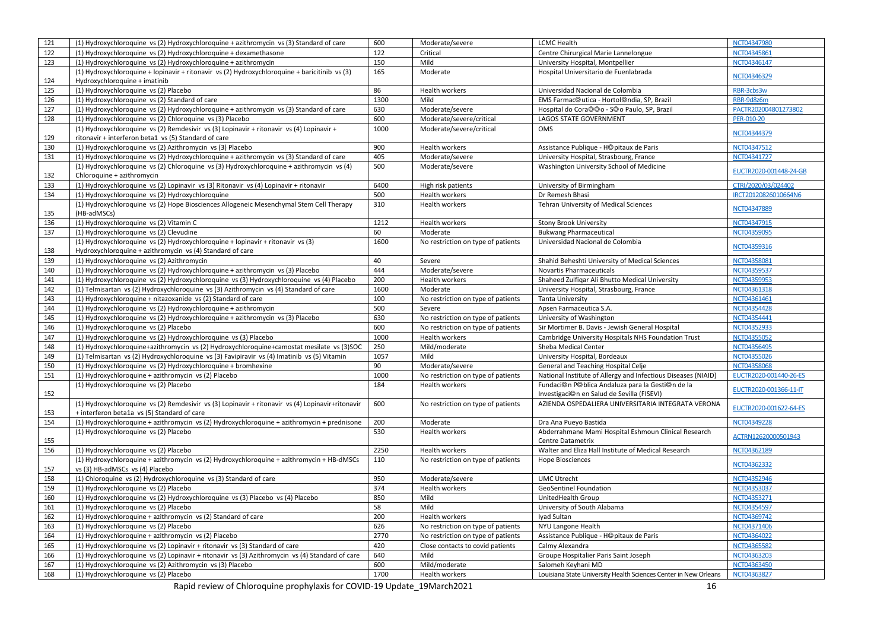| 121 | (1) Hydroxychloroquine vs (2) Hydroxychloroquine + azithromycin vs (3) Standard of care                                      | 600  | Moderate/severe                    | <b>LCMC Health</b>                                               | NCT04347980            |
|-----|------------------------------------------------------------------------------------------------------------------------------|------|------------------------------------|------------------------------------------------------------------|------------------------|
| 122 | (1) Hydroxychloroquine vs (2) Hydroxychloroquine + dexamethasone                                                             | 122  | Critical                           | Centre Chirurgical Marie Lannelongue                             | NCT04345861            |
| 123 | (1) Hydroxychloroquine vs (2) Hydroxychloroquine + azithromycin                                                              | 150  | Mild                               | University Hospital, Montpellier                                 | NCT04346147            |
|     | (1) Hydroxychloroquine + lopinavir + ritonavir vs (2) Hydroxychloroquine + baricitinib vs (3)                                | 165  | Moderate                           | Hospital Universitario de Fuenlabrada                            |                        |
| 124 | Hydroxychloroquine + imatinib                                                                                                |      |                                    |                                                                  | NCT04346329            |
| 125 | (1) Hydroxychloroquine vs (2) Placebo                                                                                        | 86   | Health workers                     | Universidad Nacional de Colombia                                 | RBR-3cbs3w             |
| 126 | (1) Hydroxychloroquine vs (2) Standard of care                                                                               | 1300 | Mild                               | EMS Farmac@utica - Hortol@ndia, SP, Brazil                       | RBR-9d8z6m             |
| 127 | (1) Hydroxychloroquine vs (2) Hydroxychloroquine + azithromycin vs (3) Standard of care                                      | 630  | Moderate/severe                    | Hospital do Cora@@o - S@o Paulo, SP, Brazil                      | PACTR202004801273802   |
| 128 | (1) Hydroxychloroquine vs (2) Chloroquine vs (3) Placebo                                                                     | 600  | Moderate/severe/critical           | <b>LAGOS STATE GOVERNMENT</b>                                    | PER-010-20             |
|     | (1) Hydroxychloroquine vs (2) Remdesivir vs (3) Lopinavir + ritonavir vs (4) Lopinavir +                                     | 1000 | Moderate/severe/critical           | <b>OMS</b>                                                       | NCT04344379            |
| 129 | ritonavir + interferon beta1 vs (5) Standard of care                                                                         |      |                                    |                                                                  |                        |
| 130 | (1) Hydroxychloroquine vs (2) Azithromycin vs (3) Placebo                                                                    | 900  | Health workers                     | Assistance Publique - H©pitaux de Paris                          | NCT04347512            |
| 131 | (1) Hydroxychloroquine vs (2) Hydroxychloroquine + azithromycin vs (3) Standard of care                                      | 405  | Moderate/severe                    | University Hospital, Strasbourg, France                          | NCT04341727            |
|     | (1) Hydroxychloroquine vs (2) Chloroquine vs (3) Hydroxychloroquine + azithromycin vs (4)                                    | 500  | Moderate/severe                    | Washington University School of Medicine                         | EUCTR2020-001448-24-GB |
| 132 | Chloroquine + azithromycin                                                                                                   |      |                                    |                                                                  |                        |
| 133 | (1) Hydroxychloroquine vs (2) Lopinavir vs (3) Ritonavir vs (4) Lopinavir + ritonavir                                        | 6400 | High risk patients                 | University of Birmingham                                         | CTRI/2020/03/024402    |
| 134 | (1) Hydroxychloroquine vs (2) Hydroxychloroquine                                                                             | 500  | <b>Health workers</b>              | Dr Remesh Bhasi                                                  | IRCT20120826010664N6   |
|     | (1) Hydroxychloroquine vs (2) Hope Biosciences Allogeneic Mesenchymal Stem Cell Therapy                                      | 310  | Health workers                     | Tehran University of Medical Sciences                            |                        |
| 135 | (HB-adMSCs)                                                                                                                  |      |                                    |                                                                  | NCT04347889            |
| 136 | (1) Hydroxychloroquine vs (2) Vitamin C                                                                                      | 1212 | Health workers                     | <b>Stony Brook University</b>                                    | NCT04347915            |
| 137 | (1) Hydroxychloroquine vs (2) Clevudine                                                                                      | 60   | Moderate                           | <b>Bukwang Pharmaceutical</b>                                    | NCT04359095            |
|     | (1) Hydroxychloroquine vs (2) Hydroxychloroquine + lopinavir + ritonavir vs (3)                                              | 1600 | No restriction on type of patients | Universidad Nacional de Colombia                                 | NCT04359316            |
| 138 | Hydroxychloroquine + azithromycin vs (4) Standard of care                                                                    |      |                                    |                                                                  |                        |
| 139 | (1) Hydroxychloroquine vs (2) Azithromycin                                                                                   | 40   | Severe                             | Shahid Beheshti University of Medical Sciences                   | NCT04358081            |
| 140 | (1) Hydroxychloroquine vs (2) Hydroxychloroquine + azithromycin vs (3) Placebo                                               | 444  | Moderate/severe                    | Novartis Pharmaceuticals                                         | NCT04359537            |
| 141 | (1) Hydroxychloroquine vs (2) Hydroxychloroquine vs (3) Hydroxychloroquine vs (4) Placebo                                    | 200  | Health workers                     | Shaheed Zulfigar Ali Bhutto Medical University                   | NCT04359953            |
| 142 | (1) Telmisartan vs (2) Hydroxychloroquine vs (3) Azithromycin vs (4) Standard of care                                        | 1600 | Moderate                           | University Hospital, Strasbourg, France                          | NCT04361318            |
| 143 | (1) Hydroxychloroquine + nitazoxanide vs (2) Standard of care                                                                | 100  | No restriction on type of patients | <b>Tanta University</b>                                          | NCT04361461            |
| 144 | (1) Hydroxychloroquine vs (2) Hydroxychloroquine + azithromycin                                                              | 500  | Severe                             | Apsen Farmaceutica S.A.                                          | NCT04354428            |
| 145 | (1) Hydroxychloroquine vs (2) Hydroxychloroquine + azithromycin vs (3) Placebo                                               | 630  | No restriction on type of patients | University of Washington                                         | NCT04354441            |
| 146 | (1) Hydroxychloroquine vs (2) Placebo                                                                                        | 600  | No restriction on type of patients | Sir Mortimer B. Davis - Jewish General Hospital                  | NCT04352933            |
| 147 | (1) Hydroxychloroquine vs (2) Hydroxychloroquine vs (3) Placebo                                                              | 1000 | Health workers                     | Cambridge University Hospitals NHS Foundation Trust              | NCT04355052            |
| 148 | (1) Hydroxychloroquine+azithromycin vs (2) Hydroxychloroquine+camostat mesilate vs (3)SOC                                    | 250  | Mild/moderate                      | Sheba Medical Center                                             | NCT04356495            |
| 149 | (1) Telmisartan vs (2) Hydroxychloroquine vs (3) Favipiravir vs (4) Imatinib vs (5) Vitamin                                  | 1057 | Mild                               | University Hospital, Bordeaux                                    | NCT04355026            |
| 150 | (1) Hydroxychloroquine vs (2) Hydroxychloroquine + bromhexine                                                                | 90   | Moderate/severe                    | General and Teaching Hospital Celje                              | NCT04358068            |
| 151 | (1) Hydroxychloroquine + azithromycin vs (2) Placebo                                                                         | 1000 | No restriction on type of patients | National Institute of Allergy and Infectious Diseases (NIAID)    | EUCTR2020-001440-26-ES |
|     | (1) Hydroxychloroquine vs (2) Placebo                                                                                        | 184  | Health workers                     | Fundaci©n P©blica Andaluza para la Gesti©n de la                 | EUCTR2020-001366-11-IT |
| 152 |                                                                                                                              |      |                                    | Investigaci©n en Salud de Sevilla (FISEVI)                       |                        |
|     | (1) Hydroxychloroquine vs (2) Remdesivir vs (3) Lopinavir + ritonavir vs (4) Lopinavir+ritonavir                             | 600  | No restriction on type of patients | AZIENDA OSPEDALIERA UNIVERSITARIA INTEGRATA VERONA               | EUCTR2020-001622-64-ES |
| 153 | + interferon beta1a vs (5) Standard of care                                                                                  |      |                                    |                                                                  |                        |
| 154 | (1) Hydroxychloroquine + azithromycin vs (2) Hydroxychloroquine + azithromycin + prednisone                                  | 200  | Moderate                           | Dra Ana Pueyo Bastida                                            | NCT04349228            |
|     | (1) Hydroxychloroquine vs (2) Placebo                                                                                        | 530  | Health workers                     | Abderrahmane Mami Hospital Eshmoun Clinical Research             | ACTRN12620000501943    |
| 155 |                                                                                                                              |      |                                    | Centre Datametrix                                                |                        |
| 156 | (1) Hydroxychloroquine vs (2) Placebo                                                                                        | 2250 | Health workers                     | Walter and Eliza Hall Institute of Medical Research              | NCT04362189            |
| 157 | (1) Hydroxychloroquine + azithromycin vs (2) Hydroxychloroquine + azithromycin + HB-dMSCs<br>vs (3) HB-adMSCs vs (4) Placebo | 110  | No restriction on type of patients | <b>Hope Biosciences</b>                                          | NCT04362332            |
| 158 | (1) Chloroquine vs (2) Hydroxychloroquine vs (3) Standard of care                                                            | 950  | Moderate/severe                    | <b>UMC Utrecht</b>                                               | NCT04352946            |
| 159 | (1) Hydroxychloroquine vs (2) Placebo                                                                                        | 374  | Health workers                     | <b>GeoSentinel Foundation</b>                                    | NCT04353037            |
| 160 | (1) Hydroxychloroquine vs (2) Hydroxychloroquine vs (3) Placebo vs (4) Placebo                                               | 850  | Mild                               | UnitedHealth Group                                               | NCT04353271            |
| 161 | (1) Hydroxychloroquine vs (2) Placebo                                                                                        | 58   | Mild                               | University of South Alabama                                      | NCT04354597            |
| 162 | (1) Hydroxychloroquine + azithromycin vs (2) Standard of care                                                                | 200  | Health workers                     | Iyad Sultan                                                      | NCT04369742            |
| 163 | (1) Hydroxychloroquine vs (2) Placebo                                                                                        | 626  | No restriction on type of patients | NYU Langone Health                                               | NCT04371406            |
| 164 | (1) Hydroxychloroquine + azithromycin vs (2) Placebo                                                                         | 2770 | No restriction on type of patients | Assistance Publique - H©pitaux de Paris                          | NCT04364022            |
| 165 | (1) Hydroxychloroquine vs (2) Lopinavir + ritonavir vs (3) Standard of care                                                  | 420  | Close contacts to covid patients   | Calmy Alexandra                                                  | NCT04365582            |
| 166 | (1) Hydroxychloroquine vs (2) Lopinavir + ritonavir vs (3) Azithromycin vs (4) Standard of care                              | 640  | Mild                               | Groupe Hospitalier Paris Saint Joseph                            | NCT04363203            |
| 167 | (1) Hydroxychloroquine vs (2) Azithromycin vs (3) Placebo                                                                    | 600  | Mild/moderate                      | Salomeh Keyhani MD                                               | NCT04363450            |
| 168 | (1) Hydroxychloroguine vs (2) Placebo                                                                                        | 1700 | Health workers                     | Louisiana State University Health Sciences Center in New Orleans | NCT04363827            |
|     |                                                                                                                              |      |                                    |                                                                  |                        |

Rapid review of Chloroquine prophylaxis for COVID-19 Update\_19March2021 16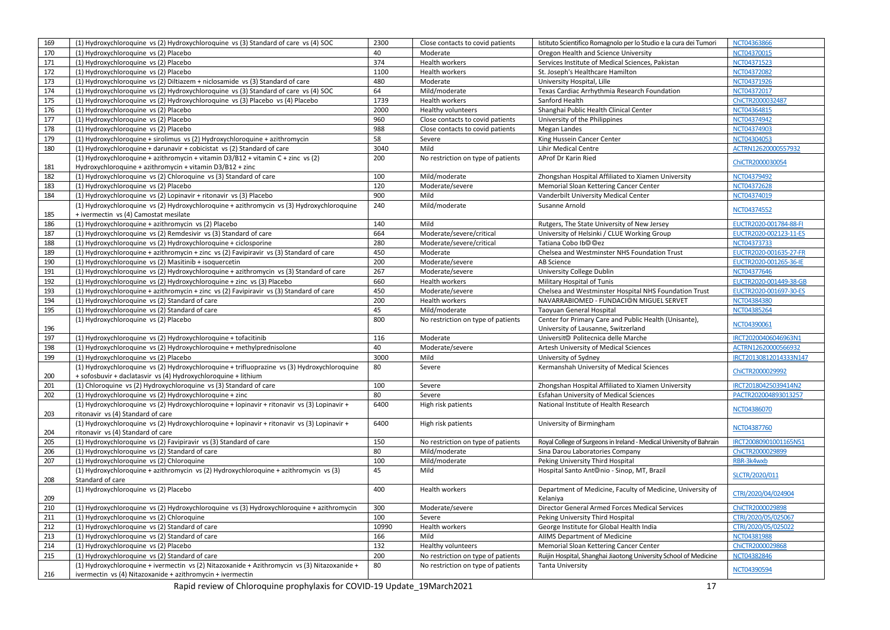| 169 | (1) Hydroxychloroquine vs (2) Hydroxychloroquine vs (3) Standard of care vs (4) SOC                                                                           | 2300  | Close contacts to covid patients   | Istituto Scientifico Romagnolo per lo Studio e la cura dei Tumori    | NCT04363866            |
|-----|---------------------------------------------------------------------------------------------------------------------------------------------------------------|-------|------------------------------------|----------------------------------------------------------------------|------------------------|
| 170 | (1) Hydroxychloroquine vs (2) Placebo                                                                                                                         | 40    | Moderate                           | Oregon Health and Science University                                 | NCT04370015            |
| 171 | (1) Hydroxychloroguine vs (2) Placebo                                                                                                                         | 374   | Health workers                     | Services Institute of Medical Sciences, Pakistan                     | NCT04371523            |
| 172 | (1) Hydroxychloroquine vs (2) Placebo                                                                                                                         | 1100  | <b>Health workers</b>              | St. Joseph's Healthcare Hamilton                                     | NCT04372082            |
| 173 | (1) Hydroxychloroquine vs (2) Diltiazem + niclosamide vs (3) Standard of care                                                                                 | 480   | Moderate                           | University Hospital, Lille                                           | NCT04371926            |
| 174 | (1) Hydroxychloroquine vs (2) Hydroxychloroquine vs (3) Standard of care vs (4) SOC                                                                           | 64    | Mild/moderate                      | Texas Cardiac Arrhythmia Research Foundation                         | NCT04372017            |
| 175 | (1) Hydroxychloroquine vs (2) Hydroxychloroquine vs (3) Placebo vs (4) Placebo                                                                                | 1739  | Health workers                     | Sanford Health                                                       | ChiCTR2000032487       |
| 176 | (1) Hydroxychloroquine vs (2) Placebo                                                                                                                         | 2000  | Healthy volunteers                 | Shanghai Public Health Clinical Center                               | NCT04364815            |
| 177 | (1) Hydroxychloroquine vs (2) Placebo                                                                                                                         | 960   | Close contacts to covid patients   | University of the Philippines                                        | NCT04374942            |
| 178 | (1) Hydroxychloroquine vs (2) Placebo                                                                                                                         | 988   | Close contacts to covid patients   | Megan Landes                                                         | NCT04374903            |
| 179 | (1) Hydroxychloroquine + sirolimus vs (2) Hydroxychloroquine + azithromycin                                                                                   | 58    | Severe                             | King Hussein Cancer Center                                           | NCT04304053            |
| 180 | (1) Hydroxychloroquine + darunavir + cobicistat vs (2) Standard of care                                                                                       | 3040  | Mild                               | <b>Lihir Medical Centre</b>                                          | ACTRN12620000557932    |
|     | (1) Hydroxychloroquine + azithromycin + vitamin $D3/B12$ + vitamin C + zinc vs (2)                                                                            | 200   | No restriction on type of patients | AProf Dr Karin Ried                                                  | ChiCTR2000030054       |
| 181 | Hydroxychloroquine + azithromycin + vitamin D3/B12 + zinc                                                                                                     |       |                                    |                                                                      |                        |
| 182 | (1) Hydroxychloroquine vs (2) Chloroquine vs (3) Standard of care                                                                                             | 100   | Mild/moderate                      | Zhongshan Hospital Affiliated to Xiamen University                   | NCT04379492            |
| 183 | (1) Hydroxychloroquine vs (2) Placebo                                                                                                                         | 120   | Moderate/severe                    | Memorial Sloan Kettering Cancer Center                               | NCT04372628            |
| 184 | (1) Hydroxychloroquine vs (2) Lopinavir + ritonavir vs (3) Placebo                                                                                            | 900   | Mild                               | Vanderbilt University Medical Center                                 | NCT04374019            |
|     | (1) Hydroxychloroquine vs (2) Hydroxychloroquine + azithromycin vs (3) Hydroxychloroquine                                                                     | 240   | Mild/moderate                      | Susanne Arnold                                                       | NCT04374552            |
| 185 | + ivermectin vs (4) Camostat mesilate                                                                                                                         |       |                                    |                                                                      |                        |
| 186 | (1) Hydroxychloroquine + azithromycin vs (2) Placebo                                                                                                          | 140   | Mild                               | Rutgers, The State University of New Jersey                          | EUCTR2020-001784-88-FI |
| 187 | (1) Hydroxychloroquine vs (2) Remdesivir vs (3) Standard of care                                                                                              | 664   | Moderate/severe/critical           | University of Helsinki / CLUE Working Group                          | EUCTR2020-002123-11-ES |
| 188 | (1) Hydroxychloroquine vs (2) Hydroxychloroquine + ciclosporine                                                                                               | 280   | Moderate/severe/critical           | Tatiana Cobo Ib <sup>O</sup> Oez                                     | NCT04373733            |
| 189 | (1) Hydroxychloroquine + azithromycin + zinc vs (2) Favipiravir vs (3) Standard of care                                                                       | 450   | Moderate                           | Chelsea and Westminster NHS Foundation Trust                         | EUCTR2020-001635-27-FR |
| 190 | (1) Hydroxychloroquine vs (2) Masitinib + isoquercetin                                                                                                        | 200   | Moderate/severe                    | AB Science                                                           | EUCTR2020-001265-36-IE |
| 191 | (1) Hydroxychloroquine vs (2) Hydroxychloroquine + azithromycin vs (3) Standard of care                                                                       | 267   | Moderate/severe                    | University College Dublin                                            | NCT04377646            |
| 192 | (1) Hydroxychloroquine vs (2) Hydroxychloroquine + zinc vs (3) Placebo                                                                                        | 660   | Health workers                     | Military Hospital of Tunis                                           | EUCTR2020-001449-38-GB |
| 193 | (1) Hydroxychloroquine + azithromycin + zinc vs (2) Favipiravir vs (3) Standard of care                                                                       | 450   | Moderate/severe                    | Chelsea and Westminster Hospital NHS Foundation Trust                | EUCTR2020-001697-30-ES |
| 194 | (1) Hydroxychloroquine vs (2) Standard of care                                                                                                                | 200   | <b>Health workers</b>              | NAVARRABIOMED - FUNDACION MIGUEL SERVET                              | NCT04384380            |
| 195 | (1) Hydroxychloroquine vs (2) Standard of care                                                                                                                | 45    | Mild/moderate                      | <b>Taoyuan General Hospital</b>                                      | NCT04385264            |
|     | (1) Hydroxychloroquine vs (2) Placebo                                                                                                                         | 800   | No restriction on type of patients | Center for Primary Care and Public Health (Unisante),                | NCT04390061            |
| 196 |                                                                                                                                                               |       |                                    | University of Lausanne, Switzerland                                  |                        |
| 197 | (1) Hydroxychloroquine vs (2) Hydroxychloroquine + tofacitinib                                                                                                | 116   | Moderate                           | Universit <sup>®</sup> Politecnica delle Marche                      | IRCT20200406046963N1   |
| 198 | (1) Hydroxychloroquine vs (2) Hydroxychloroquine + methylprednisolone                                                                                         | 40    | Moderate/severe                    | Artesh University of Medical Sciences                                | ACTRN12620000566932    |
| 199 | (1) Hydroxychloroquine vs (2) Placebo                                                                                                                         | 3000  | Mild                               | University of Sydney                                                 | IRCT20130812014333N147 |
| 200 | (1) Hydroxychloroquine vs (2) Hydroxychloroquine + trifluoprazine vs (3) Hydroxychloroquine<br>+ sofosbuvir + daclatasvir vs (4) Hydroxychloroquine + lithium | 80    | Severe                             | Kermanshah University of Medical Sciences                            | ChiCTR2000029992       |
| 201 | (1) Chloroquine vs (2) Hydroxychloroquine vs (3) Standard of care                                                                                             | 100   | Severe                             | Zhongshan Hospital Affiliated to Xiamen University                   | IRCT20180425039414N2   |
| 202 | (1) Hydroxychloroquine vs (2) Hydroxychloroquine + zinc                                                                                                       | 80    | Severe                             | <b>Esfahan University of Medical Sciences</b>                        | PACTR202004893013257   |
|     | (1) Hydroxychloroquine vs (2) Hydroxychloroquine + lopinavir + ritonavir vs (3) Lopinavir +                                                                   | 6400  | High risk patients                 | National Institute of Health Research                                |                        |
| 203 | ritonavir vs (4) Standard of care                                                                                                                             |       |                                    |                                                                      | NCT04386070            |
|     | (1) Hydroxychloroquine vs (2) Hydroxychloroquine + lopinavir + ritonavir vs (3) Lopinavir +                                                                   | 6400  | High risk patients                 | University of Birmingham                                             | NCT04387760            |
| 204 | ritonavir vs (4) Standard of care                                                                                                                             |       |                                    |                                                                      |                        |
| 205 | (1) Hydroxychloroquine vs (2) Favipiravir vs (3) Standard of care                                                                                             | 150   | No restriction on type of patients | Royal College of Surgeons in Ireland - Medical University of Bahrain | IRCT20080901001165N51  |
| 206 | (1) Hydroxychloroquine vs (2) Standard of care                                                                                                                | 80    | Mild/moderate                      | Sina Darou Laboratories Company                                      | ChiCTR2000029899       |
| 207 | (1) Hydroxychloroquine vs (2) Chloroquine                                                                                                                     | 100   | Mild/moderate                      | Peking University Third Hospital                                     | RBR-3k4wxb             |
| 208 | (1) Hydroxychloroquine + azithromycin vs (2) Hydroxychloroquine + azithromycin vs (3)<br>Standard of care                                                     | 45    | Mild                               | Hospital Santo Ant <sup>©nio</sup> - Sinop, MT, Brazil               | SLCTR/2020/011         |
|     | (1) Hydroxychloroquine vs (2) Placebo                                                                                                                         | 400   | <b>Health workers</b>              | Department of Medicine, Faculty of Medicine, University of           | CTRI/2020/04/024904    |
| 209 |                                                                                                                                                               |       |                                    | Kelaniya                                                             |                        |
| 210 | (1) Hydroxychloroquine vs (2) Hydroxychloroquine vs (3) Hydroxychloroquine + azithromycin                                                                     | 300   | Moderate/severe                    | Director General Armed Forces Medical Services                       | ChiCTR2000029898       |
| 211 | (1) Hydroxychloroquine vs (2) Chloroquine                                                                                                                     | 100   | Severe                             | Peking University Third Hospital                                     | CTRI/2020/05/025067    |
| 212 | (1) Hydroxychloroquine vs (2) Standard of care                                                                                                                | 10990 | Health workers                     | George Institute for Global Health India                             | CTRI/2020/05/025022    |
| 213 | (1) Hydroxychloroquine vs (2) Standard of care                                                                                                                | 166   | Mild                               | AIIMS Department of Medicine                                         | NCT04381988            |
| 214 | (1) Hydroxychloroquine vs (2) Placebo                                                                                                                         | 132   | Healthy volunteers                 | Memorial Sloan Kettering Cancer Center                               | ChiCTR2000029868       |
| 215 | (1) Hydroxychloroquine vs (2) Standard of care                                                                                                                | 200   | No restriction on type of patients | Ruijin Hospital, Shanghai Jiaotong University School of Medicine     | NCT04382846            |
| 216 | (1) Hydroxychloroquine + ivermectin vs (2) Nitazoxanide + Azithromycin vs (3) Nitazoxanide +<br>ivermectin vs (4) Nitazoxanide + azithromycin + ivermectin    | 80    | No restriction on type of patients | <b>Tanta University</b>                                              | NCT04390594            |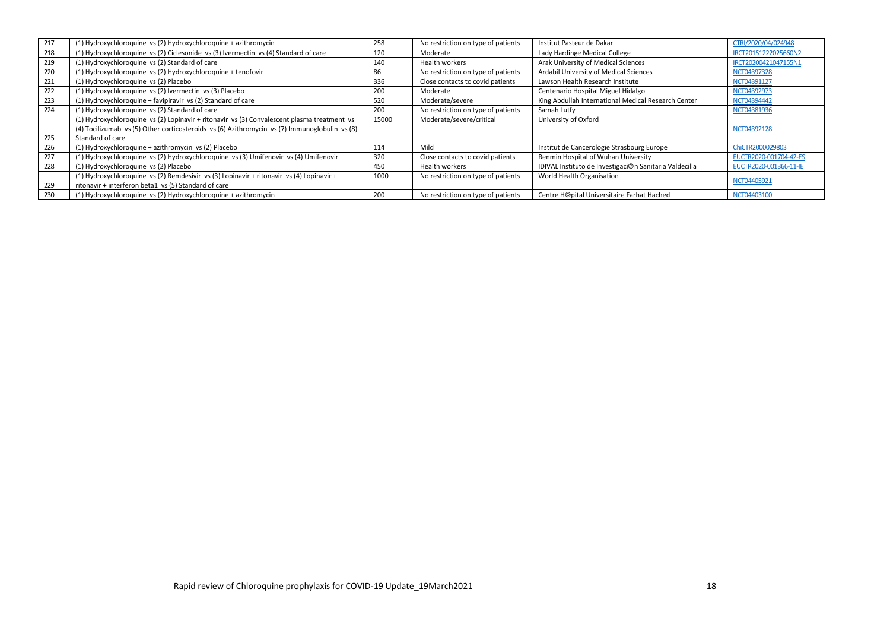| 217 | (1) Hydroxychloroquine vs (2) Hydroxychloroquine + azithromycin                               | 258   | No restriction on type of patients | Institut Pasteur de Dakar                              | CTRI/2020/04/024948    |
|-----|-----------------------------------------------------------------------------------------------|-------|------------------------------------|--------------------------------------------------------|------------------------|
| 218 | (1) Hydroxychloroquine vs (2) Ciclesonide vs (3) Ivermectin vs (4) Standard of care           | 120   | Moderate                           | Lady Hardinge Medical College                          | IRCT20151222025660N2   |
| 219 | (1) Hydroxychloroquine vs (2) Standard of care                                                | 140   | <b>Health workers</b>              | Arak University of Medical Sciences                    | IRCT20200421047155N1   |
| 220 | (1) Hydroxychloroquine vs (2) Hydroxychloroquine + tenofovir                                  | 86    | No restriction on type of patients | Ardabil University of Medical Sciences                 | NCT04397328            |
| 221 | (1) Hydroxychloroquine vs (2) Placebo                                                         | 336   | Close contacts to covid patients   | Lawson Health Research Institute                       | NCT04391127            |
| 222 | (1) Hydroxychloroquine vs (2) Ivermectin vs (3) Placebo                                       | 200   | Moderate                           | Centenario Hospital Miguel Hidalgo                     | NCT04392973            |
| 223 | (1) Hydroxychloroguine + favipiravir vs (2) Standard of care                                  | 520   | Moderate/severe                    | King Abdullah International Medical Research Center    | NCT04394442            |
| 224 | (1) Hydroxychloroquine vs (2) Standard of care                                                | 200   | No restriction on type of patients | Samah Lutfy                                            | NCT04381936            |
|     | (1) Hydroxychloroquine vs (2) Lopinavir + ritonavir vs (3) Convalescent plasma treatment vs   | 15000 | Moderate/severe/critical           | University of Oxford                                   |                        |
|     | (4) Tocilizumab vs (5) Other corticosteroids vs (6) Azithromycin vs (7) Immunoglobulin vs (8) |       |                                    |                                                        | NCT04392128            |
| 225 | Standard of care                                                                              |       |                                    |                                                        |                        |
| 226 | (1) Hydroxychloroquine + azithromycin vs (2) Placebo                                          | 114   | Mild                               | Institut de Cancerologie Strasbourg Europe             | ChiCTR2000029803       |
| 227 | (1) Hydroxychloroquine vs (2) Hydroxychloroquine vs (3) Umifenovir vs (4) Umifenovir          | 320   | Close contacts to covid patients   | Renmin Hospital of Wuhan University                    | EUCTR2020-001704-42-ES |
| 228 | (1) Hydroxychloroquine vs (2) Placebo                                                         | 450   | Health workers                     | IDIVAL Instituto de Investigaci@n Sanitaria Valdecilla | EUCTR2020-001366-11-IE |
|     | (1) Hydroxychloroquine vs (2) Remdesivir vs (3) Lopinavir + ritonavir vs (4) Lopinavir +      | 1000  | No restriction on type of patients | World Health Organisation                              | NCT04405921            |
| 229 | ritonavir + interferon beta1 vs (5) Standard of care                                          |       |                                    |                                                        |                        |
| 230 | (1) Hydroxychloroquine vs (2) Hydroxychloroquine + azithromycin                               | 200   | No restriction on type of patients | Centre H@pital Universitaire Farhat Hached             | NCT04403100            |